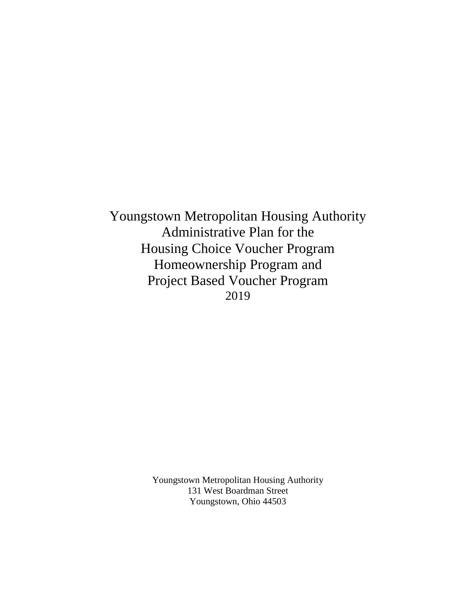Youngstown Metropolitan Housing Authority Administrative Plan for the Housing Choice Voucher Program Homeownership Program and Project Based Voucher Program 2019

> Youngstown Metropolitan Housing Authority 131 West Boardman Street Youngstown, Ohio 44503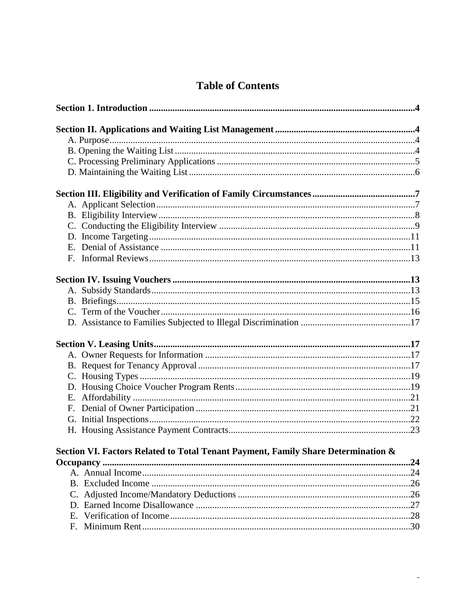| Е. |                                                                                   |     |
|----|-----------------------------------------------------------------------------------|-----|
|    |                                                                                   |     |
|    |                                                                                   |     |
|    |                                                                                   |     |
|    |                                                                                   |     |
|    |                                                                                   |     |
|    |                                                                                   |     |
|    |                                                                                   |     |
|    |                                                                                   |     |
|    |                                                                                   |     |
|    |                                                                                   |     |
|    |                                                                                   |     |
|    |                                                                                   |     |
|    |                                                                                   |     |
|    |                                                                                   |     |
|    | Section VI. Factors Related to Total Tenant Payment, Family Share Determination & |     |
|    |                                                                                   | .24 |
|    |                                                                                   |     |
|    |                                                                                   |     |
|    |                                                                                   |     |
|    |                                                                                   |     |
| E. |                                                                                   |     |
| F. |                                                                                   |     |

 $\equiv$ 

# **Table of Contents**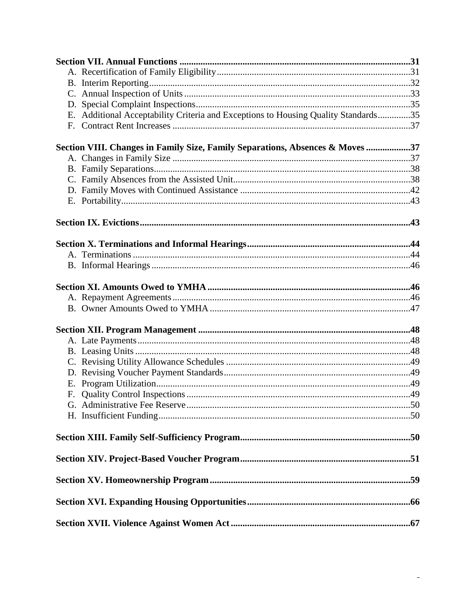| E. Additional Acceptability Criteria and Exceptions to Housing Quality Standards35 |  |
|------------------------------------------------------------------------------------|--|
|                                                                                    |  |
| Section VIII. Changes in Family Size, Family Separations, Absences & Moves 37      |  |
|                                                                                    |  |
|                                                                                    |  |
|                                                                                    |  |
|                                                                                    |  |
|                                                                                    |  |
|                                                                                    |  |
|                                                                                    |  |
|                                                                                    |  |
|                                                                                    |  |
|                                                                                    |  |
|                                                                                    |  |
|                                                                                    |  |
|                                                                                    |  |
|                                                                                    |  |
|                                                                                    |  |
|                                                                                    |  |
|                                                                                    |  |
|                                                                                    |  |
|                                                                                    |  |
|                                                                                    |  |
|                                                                                    |  |
|                                                                                    |  |
|                                                                                    |  |
|                                                                                    |  |
|                                                                                    |  |
|                                                                                    |  |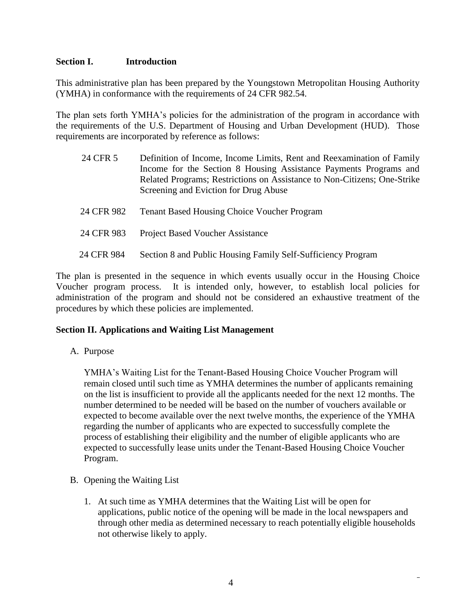#### **Section I. Introduction**

This administrative plan has been prepared by the Youngstown Metropolitan Housing Authority (YMHA) in conformance with the requirements of 24 CFR 982.54.

The plan sets forth YMHA's policies for the administration of the program in accordance with the requirements of the U.S. Department of Housing and Urban Development (HUD). Those requirements are incorporated by reference as follows:

| 24 CFR 5   | Definition of Income, Income Limits, Rent and Reexamination of Family<br>Income for the Section 8 Housing Assistance Payments Programs and<br>Related Programs; Restrictions on Assistance to Non-Citizens; One-Strike<br>Screening and Eviction for Drug Abuse |
|------------|-----------------------------------------------------------------------------------------------------------------------------------------------------------------------------------------------------------------------------------------------------------------|
| 24 CFR 982 | <b>Tenant Based Housing Choice Voucher Program</b>                                                                                                                                                                                                              |
| 24 CFR 983 | <b>Project Based Voucher Assistance</b>                                                                                                                                                                                                                         |
| 24 CFR 984 | Section 8 and Public Housing Family Self-Sufficiency Program                                                                                                                                                                                                    |

The plan is presented in the sequence in which events usually occur in the Housing Choice Voucher program process. It is intended only, however, to establish local policies for administration of the program and should not be considered an exhaustive treatment of the procedures by which these policies are implemented.

# **Section II. Applications and Waiting List Management**

A. Purpose

YMHA's Waiting List for the Tenant-Based Housing Choice Voucher Program will remain closed until such time as YMHA determines the number of applicants remaining on the list is insufficient to provide all the applicants needed for the next 12 months. The number determined to be needed will be based on the number of vouchers available or expected to become available over the next twelve months, the experience of the YMHA regarding the number of applicants who are expected to successfully complete the process of establishing their eligibility and the number of eligible applicants who are expected to successfully lease units under the Tenant-Based Housing Choice Voucher Program.

- B. Opening the Waiting List
	- 1. At such time as YMHA determines that the Waiting List will be open for applications, public notice of the opening will be made in the local newspapers and through other media as determined necessary to reach potentially eligible households not otherwise likely to apply.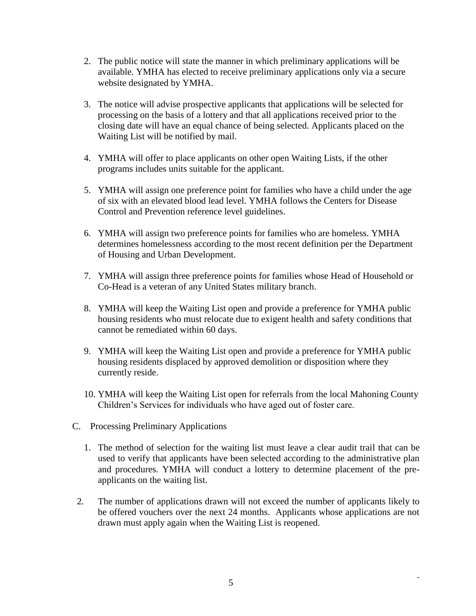- 2. The public notice will state the manner in which preliminary applications will be available. YMHA has elected to receive preliminary applications only via a secure website designated by YMHA.
- 3. The notice will advise prospective applicants that applications will be selected for processing on the basis of a lottery and that all applications received prior to the closing date will have an equal chance of being selected. Applicants placed on the Waiting List will be notified by mail.
- 4. YMHA will offer to place applicants on other open Waiting Lists, if the other programs includes units suitable for the applicant.
- 5. YMHA will assign one preference point for families who have a child under the age of six with an elevated blood lead level. YMHA follows the Centers for Disease Control and Prevention reference level guidelines.
- 6. YMHA will assign two preference points for families who are homeless. YMHA determines homelessness according to the most recent definition per the Department of Housing and Urban Development.
- 7. YMHA will assign three preference points for families whose Head of Household or Co-Head is a veteran of any United States military branch.
- 8. YMHA will keep the Waiting List open and provide a preference for YMHA public housing residents who must relocate due to exigent health and safety conditions that cannot be remediated within 60 days.
- 9. YMHA will keep the Waiting List open and provide a preference for YMHA public housing residents displaced by approved demolition or disposition where they currently reside.
- 10. YMHA will keep the Waiting List open for referrals from the local Mahoning County Children's Services for individuals who have aged out of foster care.
- C. Processing Preliminary Applications
	- 1. The method of selection for the waiting list must leave a clear audit trail that can be used to verify that applicants have been selected according to the administrative plan and procedures. YMHA will conduct a lottery to determine placement of the preapplicants on the waiting list.
- 2. The number of applications drawn will not exceed the number of applicants likely to be offered vouchers over the next 24 months. Applicants whose applications are not drawn must apply again when the Waiting List is reopened.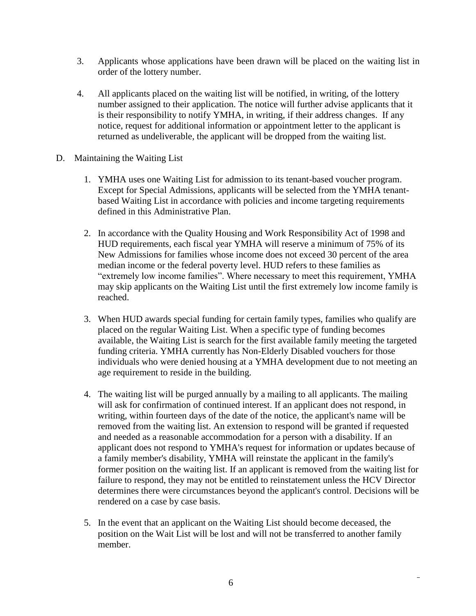- 3. Applicants whose applications have been drawn will be placed on the waiting list in order of the lottery number.
- 4. All applicants placed on the waiting list will be notified, in writing, of the lottery number assigned to their application. The notice will further advise applicants that it is their responsibility to notify YMHA, in writing, if their address changes. If any notice, request for additional information or appointment letter to the applicant is returned as undeliverable, the applicant will be dropped from the waiting list.
- D. Maintaining the Waiting List
	- 1. YMHA uses one Waiting List for admission to its tenant-based voucher program. Except for Special Admissions, applicants will be selected from the YMHA tenantbased Waiting List in accordance with policies and income targeting requirements defined in this Administrative Plan.
	- 2. In accordance with the Quality Housing and Work Responsibility Act of 1998 and HUD requirements, each fiscal year YMHA will reserve a minimum of 75% of its New Admissions for families whose income does not exceed 30 percent of the area median income or the federal poverty level. HUD refers to these families as "extremely low income families". Where necessary to meet this requirement, YMHA may skip applicants on the Waiting List until the first extremely low income family is reached.
	- 3. When HUD awards special funding for certain family types, families who qualify are placed on the regular Waiting List. When a specific type of funding becomes available, the Waiting List is search for the first available family meeting the targeted funding criteria. YMHA currently has Non-Elderly Disabled vouchers for those individuals who were denied housing at a YMHA development due to not meeting an age requirement to reside in the building.
	- 4. The waiting list will be purged annually by a mailing to all applicants. The mailing will ask for confirmation of continued interest. If an applicant does not respond, in writing, within fourteen days of the date of the notice, the applicant's name will be removed from the waiting list. An extension to respond will be granted if requested and needed as a reasonable accommodation for a person with a disability. If an applicant does not respond to YMHA's request for information or updates because of a family member's disability, YMHA will reinstate the applicant in the family's former position on the waiting list. If an applicant is removed from the waiting list for failure to respond, they may not be entitled to reinstatement unless the HCV Director determines there were circumstances beyond the applicant's control. Decisions will be rendered on a case by case basis.
	- 5. In the event that an applicant on the Waiting List should become deceased, the position on the Wait List will be lost and will not be transferred to another family member.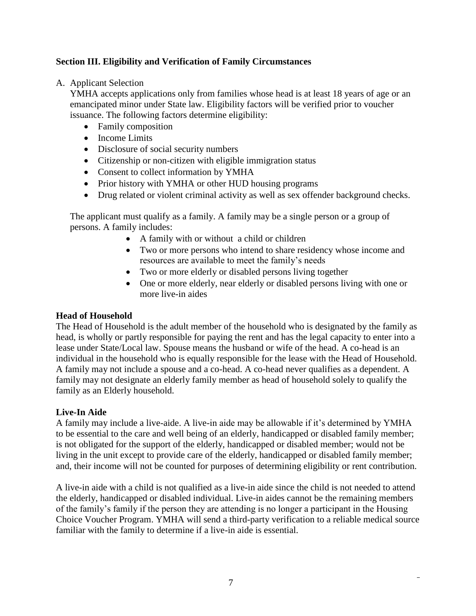# **Section III. Eligibility and Verification of Family Circumstances**

A. Applicant Selection

YMHA accepts applications only from families whose head is at least 18 years of age or an emancipated minor under State law. Eligibility factors will be verified prior to voucher issuance. The following factors determine eligibility:

- Family composition
- Income Limits
- Disclosure of social security numbers
- Citizenship or non-citizen with eligible immigration status
- Consent to collect information by YMHA
- Prior history with YMHA or other HUD housing programs
- Drug related or violent criminal activity as well as sex offender background checks.

The applicant must qualify as a family. A family may be a single person or a group of persons. A family includes:

- A family with or without a child or children
- Two or more persons who intend to share residency whose income and resources are available to meet the family's needs
- Two or more elderly or disabled persons living together
- One or more elderly, near elderly or disabled persons living with one or more live-in aides

# **Head of Household**

The Head of Household is the adult member of the household who is designated by the family as head, is wholly or partly responsible for paying the rent and has the legal capacity to enter into a lease under State/Local law. Spouse means the husband or wife of the head. A co-head is an individual in the household who is equally responsible for the lease with the Head of Household. A family may not include a spouse and a co-head. A co-head never qualifies as a dependent. A family may not designate an elderly family member as head of household solely to qualify the family as an Elderly household.

# **Live-In Aide**

A family may include a live-aide. A live-in aide may be allowable if it's determined by YMHA to be essential to the care and well being of an elderly, handicapped or disabled family member; is not obligated for the support of the elderly, handicapped or disabled member; would not be living in the unit except to provide care of the elderly, handicapped or disabled family member; and, their income will not be counted for purposes of determining eligibility or rent contribution.

A live-in aide with a child is not qualified as a live-in aide since the child is not needed to attend the elderly, handicapped or disabled individual. Live-in aides cannot be the remaining members of the family's family if the person they are attending is no longer a participant in the Housing Choice Voucher Program. YMHA will send a third-party verification to a reliable medical source familiar with the family to determine if a live-in aide is essential.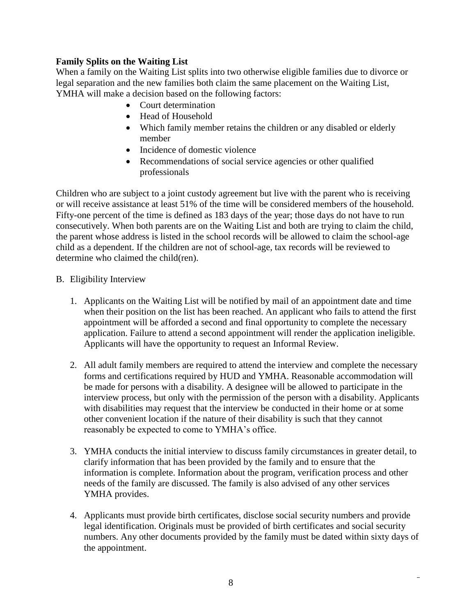# **Family Splits on the Waiting List**

When a family on the Waiting List splits into two otherwise eligible families due to divorce or legal separation and the new families both claim the same placement on the Waiting List, YMHA will make a decision based on the following factors:

- Court determination
- Head of Household
- Which family member retains the children or any disabled or elderly member
- Incidence of domestic violence
- Recommendations of social service agencies or other qualified professionals

Children who are subject to a joint custody agreement but live with the parent who is receiving or will receive assistance at least 51% of the time will be considered members of the household. Fifty-one percent of the time is defined as 183 days of the year; those days do not have to run consecutively. When both parents are on the Waiting List and both are trying to claim the child, the parent whose address is listed in the school records will be allowed to claim the school-age child as a dependent. If the children are not of school-age, tax records will be reviewed to determine who claimed the child(ren).

#### B. Eligibility Interview

- 1. Applicants on the Waiting List will be notified by mail of an appointment date and time when their position on the list has been reached. An applicant who fails to attend the first appointment will be afforded a second and final opportunity to complete the necessary application. Failure to attend a second appointment will render the application ineligible. Applicants will have the opportunity to request an Informal Review.
- 2. All adult family members are required to attend the interview and complete the necessary forms and certifications required by HUD and YMHA. Reasonable accommodation will be made for persons with a disability. A designee will be allowed to participate in the interview process, but only with the permission of the person with a disability. Applicants with disabilities may request that the interview be conducted in their home or at some other convenient location if the nature of their disability is such that they cannot reasonably be expected to come to YMHA's office.
- 3. YMHA conducts the initial interview to discuss family circumstances in greater detail, to clarify information that has been provided by the family and to ensure that the information is complete. Information about the program, verification process and other needs of the family are discussed. The family is also advised of any other services YMHA provides.
- 4. Applicants must provide birth certificates, disclose social security numbers and provide legal identification. Originals must be provided of birth certificates and social security numbers. Any other documents provided by the family must be dated within sixty days of the appointment.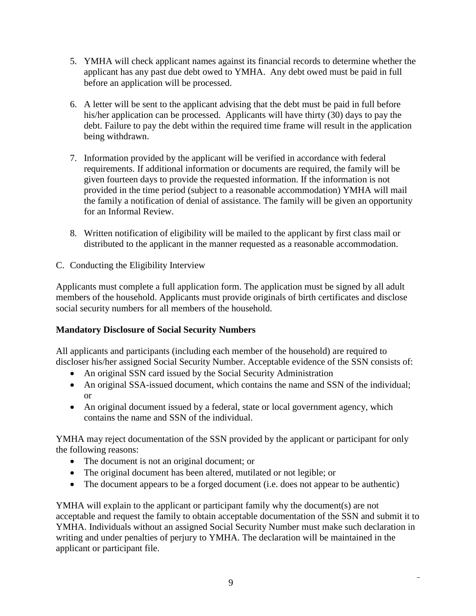- 5. YMHA will check applicant names against its financial records to determine whether the applicant has any past due debt owed to YMHA. Any debt owed must be paid in full before an application will be processed.
- 6. A letter will be sent to the applicant advising that the debt must be paid in full before his/her application can be processed. Applicants will have thirty (30) days to pay the debt. Failure to pay the debt within the required time frame will result in the application being withdrawn.
- 7. Information provided by the applicant will be verified in accordance with federal requirements. If additional information or documents are required, the family will be given fourteen days to provide the requested information. If the information is not provided in the time period (subject to a reasonable accommodation) YMHA will mail the family a notification of denial of assistance. The family will be given an opportunity for an Informal Review.
- 8. Written notification of eligibility will be mailed to the applicant by first class mail or distributed to the applicant in the manner requested as a reasonable accommodation.
- C. Conducting the Eligibility Interview

Applicants must complete a full application form. The application must be signed by all adult members of the household. Applicants must provide originals of birth certificates and disclose social security numbers for all members of the household.

# **Mandatory Disclosure of Social Security Numbers**

All applicants and participants (including each member of the household) are required to discloser his/her assigned Social Security Number. Acceptable evidence of the SSN consists of:

- An original SSN card issued by the Social Security Administration
- An original SSA-issued document, which contains the name and SSN of the individual; or
- An original document issued by a federal, state or local government agency, which contains the name and SSN of the individual.

YMHA may reject documentation of the SSN provided by the applicant or participant for only the following reasons:

- The document is not an original document; or
- The original document has been altered, mutilated or not legible; or
- The document appears to be a forged document (i.e. does not appear to be authentic)

YMHA will explain to the applicant or participant family why the document(s) are not acceptable and request the family to obtain acceptable documentation of the SSN and submit it to YMHA. Individuals without an assigned Social Security Number must make such declaration in writing and under penalties of perjury to YMHA. The declaration will be maintained in the applicant or participant file.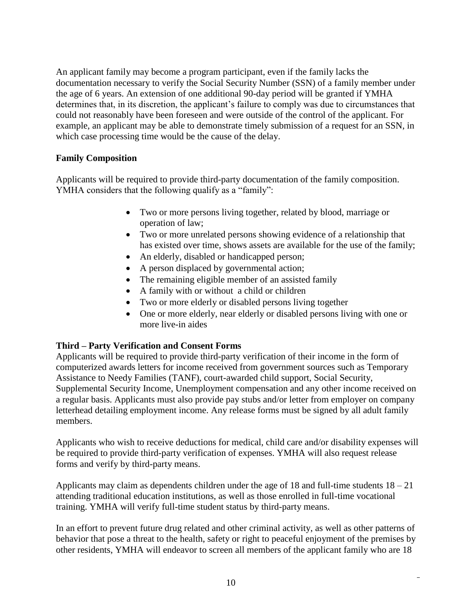An applicant family may become a program participant, even if the family lacks the documentation necessary to verify the Social Security Number (SSN) of a family member under the age of 6 years. An extension of one additional 90-day period will be granted if YMHA determines that, in its discretion, the applicant's failure to comply was due to circumstances that could not reasonably have been foreseen and were outside of the control of the applicant. For example, an applicant may be able to demonstrate timely submission of a request for an SSN, in which case processing time would be the cause of the delay.

# **Family Composition**

Applicants will be required to provide third-party documentation of the family composition. YMHA considers that the following qualify as a "family":

- Two or more persons living together, related by blood, marriage or operation of law;
- Two or more unrelated persons showing evidence of a relationship that has existed over time, shows assets are available for the use of the family;
- An elderly, disabled or handicapped person;
- A person displaced by governmental action;
- The remaining eligible member of an assisted family
- A family with or without a child or children
- Two or more elderly or disabled persons living together
- One or more elderly, near elderly or disabled persons living with one or more live-in aides

# **Third – Party Verification and Consent Forms**

Applicants will be required to provide third-party verification of their income in the form of computerized awards letters for income received from government sources such as Temporary Assistance to Needy Families (TANF), court-awarded child support, Social Security, Supplemental Security Income, Unemployment compensation and any other income received on a regular basis. Applicants must also provide pay stubs and/or letter from employer on company letterhead detailing employment income. Any release forms must be signed by all adult family members.

Applicants who wish to receive deductions for medical, child care and/or disability expenses will be required to provide third-party verification of expenses. YMHA will also request release forms and verify by third-party means.

Applicants may claim as dependents children under the age of 18 and full-time students  $18 - 21$ attending traditional education institutions, as well as those enrolled in full-time vocational training. YMHA will verify full-time student status by third-party means.

In an effort to prevent future drug related and other criminal activity, as well as other patterns of behavior that pose a threat to the health, safety or right to peaceful enjoyment of the premises by other residents, YMHA will endeavor to screen all members of the applicant family who are 18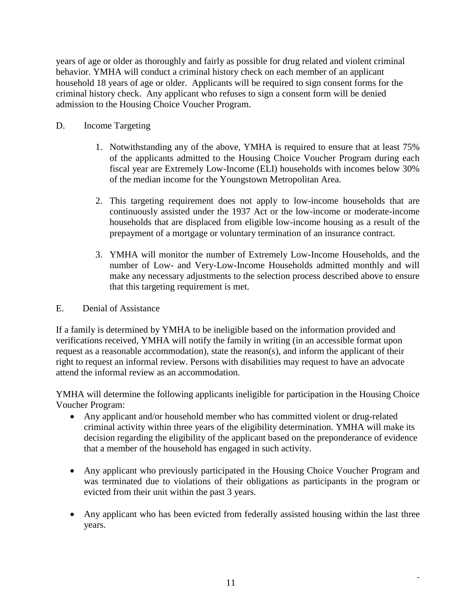years of age or older as thoroughly and fairly as possible for drug related and violent criminal behavior. YMHA will conduct a criminal history check on each member of an applicant household 18 years of age or older. Applicants will be required to sign consent forms for the criminal history check. Any applicant who refuses to sign a consent form will be denied admission to the Housing Choice Voucher Program.

- D. Income Targeting
	- 1. Notwithstanding any of the above, YMHA is required to ensure that at least 75% of the applicants admitted to the Housing Choice Voucher Program during each fiscal year are Extremely Low-Income (ELI) households with incomes below 30% of the median income for the Youngstown Metropolitan Area.
	- 2. This targeting requirement does not apply to low-income households that are continuously assisted under the 1937 Act or the low-income or moderate-income households that are displaced from eligible low-income housing as a result of the prepayment of a mortgage or voluntary termination of an insurance contract.
	- 3. YMHA will monitor the number of Extremely Low-Income Households, and the number of Low- and Very-Low-Income Households admitted monthly and will make any necessary adjustments to the selection process described above to ensure that this targeting requirement is met.
- E. Denial of Assistance

If a family is determined by YMHA to be ineligible based on the information provided and verifications received, YMHA will notify the family in writing (in an accessible format upon request as a reasonable accommodation), state the reason(s), and inform the applicant of their right to request an informal review. Persons with disabilities may request to have an advocate attend the informal review as an accommodation.

YMHA will determine the following applicants ineligible for participation in the Housing Choice Voucher Program:

- Any applicant and/or household member who has committed violent or drug-related criminal activity within three years of the eligibility determination. YMHA will make its decision regarding the eligibility of the applicant based on the preponderance of evidence that a member of the household has engaged in such activity.
- Any applicant who previously participated in the Housing Choice Voucher Program and was terminated due to violations of their obligations as participants in the program or evicted from their unit within the past 3 years.
- Any applicant who has been evicted from federally assisted housing within the last three years.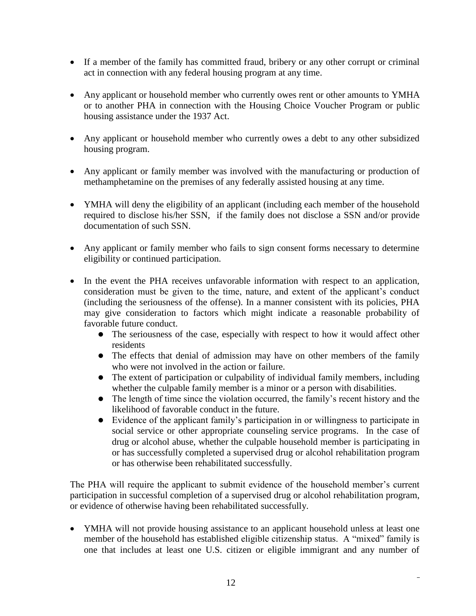- If a member of the family has committed fraud, bribery or any other corrupt or criminal act in connection with any federal housing program at any time.
- Any applicant or household member who currently owes rent or other amounts to YMHA or to another PHA in connection with the Housing Choice Voucher Program or public housing assistance under the 1937 Act.
- Any applicant or household member who currently owes a debt to any other subsidized housing program.
- Any applicant or family member was involved with the manufacturing or production of methamphetamine on the premises of any federally assisted housing at any time.
- YMHA will deny the eligibility of an applicant (including each member of the household required to disclose his/her SSN, if the family does not disclose a SSN and/or provide documentation of such SSN.
- Any applicant or family member who fails to sign consent forms necessary to determine eligibility or continued participation.
- In the event the PHA receives unfavorable information with respect to an application, consideration must be given to the time, nature, and extent of the applicant's conduct (including the seriousness of the offense). In a manner consistent with its policies, PHA may give consideration to factors which might indicate a reasonable probability of favorable future conduct.
	- The seriousness of the case, especially with respect to how it would affect other residents
	- The effects that denial of admission may have on other members of the family who were not involved in the action or failure.
	- The extent of participation or culpability of individual family members, including whether the culpable family member is a minor or a person with disabilities.
	- The length of time since the violation occurred, the family's recent history and the likelihood of favorable conduct in the future.
	- Evidence of the applicant family's participation in or willingness to participate in social service or other appropriate counseling service programs. In the case of drug or alcohol abuse, whether the culpable household member is participating in or has successfully completed a supervised drug or alcohol rehabilitation program or has otherwise been rehabilitated successfully.

The PHA will require the applicant to submit evidence of the household member's current participation in successful completion of a supervised drug or alcohol rehabilitation program, or evidence of otherwise having been rehabilitated successfully.

• YMHA will not provide housing assistance to an applicant household unless at least one member of the household has established eligible citizenship status. A "mixed" family is one that includes at least one U.S. citizen or eligible immigrant and any number of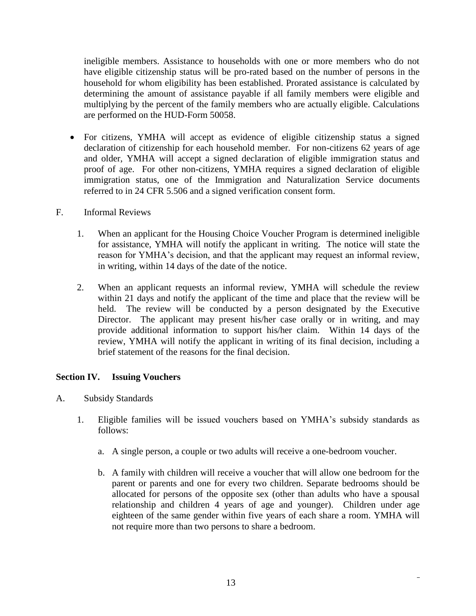ineligible members. Assistance to households with one or more members who do not have eligible citizenship status will be pro-rated based on the number of persons in the household for whom eligibility has been established. Prorated assistance is calculated by determining the amount of assistance payable if all family members were eligible and multiplying by the percent of the family members who are actually eligible. Calculations are performed on the HUD-Form 50058.

- For citizens, YMHA will accept as evidence of eligible citizenship status a signed declaration of citizenship for each household member. For non-citizens 62 years of age and older, YMHA will accept a signed declaration of eligible immigration status and proof of age. For other non-citizens, YMHA requires a signed declaration of eligible immigration status, one of the Immigration and Naturalization Service documents referred to in 24 CFR 5.506 and a signed verification consent form.
- F. Informal Reviews
	- 1. When an applicant for the Housing Choice Voucher Program is determined ineligible for assistance, YMHA will notify the applicant in writing. The notice will state the reason for YMHA's decision, and that the applicant may request an informal review, in writing, within 14 days of the date of the notice.
	- 2. When an applicant requests an informal review, YMHA will schedule the review within 21 days and notify the applicant of the time and place that the review will be held. The review will be conducted by a person designated by the Executive Director. The applicant may present his/her case orally or in writing, and may provide additional information to support his/her claim. Within 14 days of the review, YMHA will notify the applicant in writing of its final decision, including a brief statement of the reasons for the final decision.

# **Section IV. Issuing Vouchers**

- A. Subsidy Standards
	- 1. Eligible families will be issued vouchers based on YMHA's subsidy standards as follows:
		- a. A single person, a couple or two adults will receive a one-bedroom voucher.
		- b. A family with children will receive a voucher that will allow one bedroom for the parent or parents and one for every two children. Separate bedrooms should be allocated for persons of the opposite sex (other than adults who have a spousal relationship and children 4 years of age and younger). Children under age eighteen of the same gender within five years of each share a room. YMHA will not require more than two persons to share a bedroom.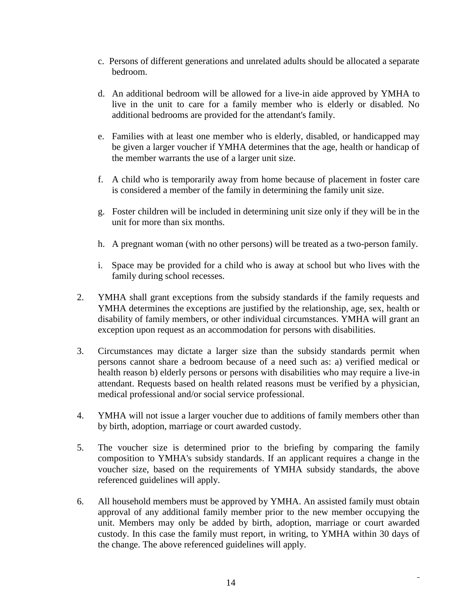- c. Persons of different generations and unrelated adults should be allocated a separate bedroom.
- d. An additional bedroom will be allowed for a live-in aide approved by YMHA to live in the unit to care for a family member who is elderly or disabled. No additional bedrooms are provided for the attendant's family.
- e. Families with at least one member who is elderly, disabled, or handicapped may be given a larger voucher if YMHA determines that the age, health or handicap of the member warrants the use of a larger unit size.
- f. A child who is temporarily away from home because of placement in foster care is considered a member of the family in determining the family unit size.
- g. Foster children will be included in determining unit size only if they will be in the unit for more than six months.
- h. A pregnant woman (with no other persons) will be treated as a two-person family.
- i. Space may be provided for a child who is away at school but who lives with the family during school recesses.
- 2. YMHA shall grant exceptions from the subsidy standards if the family requests and YMHA determines the exceptions are justified by the relationship, age, sex, health or disability of family members, or other individual circumstances. YMHA will grant an exception upon request as an accommodation for persons with disabilities.
- 3. Circumstances may dictate a larger size than the subsidy standards permit when persons cannot share a bedroom because of a need such as: a) verified medical or health reason b) elderly persons or persons with disabilities who may require a live-in attendant. Requests based on health related reasons must be verified by a physician, medical professional and/or social service professional.
- 4. YMHA will not issue a larger voucher due to additions of family members other than by birth, adoption, marriage or court awarded custody.
- 5. The voucher size is determined prior to the briefing by comparing the family composition to YMHA's subsidy standards. If an applicant requires a change in the voucher size, based on the requirements of YMHA subsidy standards, the above referenced guidelines will apply.
- 6. All household members must be approved by YMHA. An assisted family must obtain approval of any additional family member prior to the new member occupying the unit. Members may only be added by birth, adoption, marriage or court awarded custody. In this case the family must report, in writing, to YMHA within 30 days of the change. The above referenced guidelines will apply.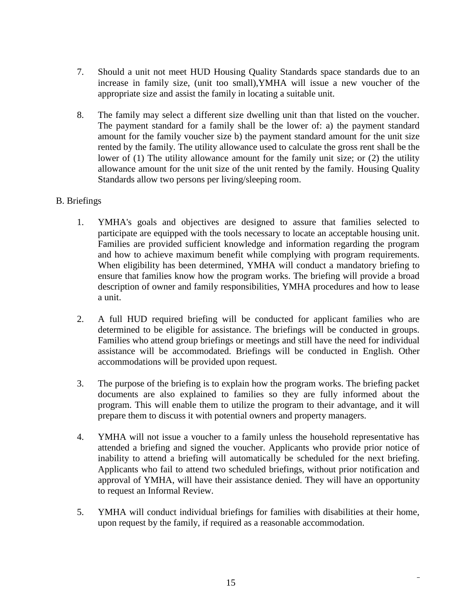- 7. Should a unit not meet HUD Housing Quality Standards space standards due to an increase in family size, (unit too small),YMHA will issue a new voucher of the appropriate size and assist the family in locating a suitable unit.
- 8. The family may select a different size dwelling unit than that listed on the voucher. The payment standard for a family shall be the lower of: a) the payment standard amount for the family voucher size b) the payment standard amount for the unit size rented by the family. The utility allowance used to calculate the gross rent shall be the lower of (1) The utility allowance amount for the family unit size; or (2) the utility allowance amount for the unit size of the unit rented by the family. Housing Quality Standards allow two persons per living/sleeping room.

# B. Briefings

- 1. YMHA's goals and objectives are designed to assure that families selected to participate are equipped with the tools necessary to locate an acceptable housing unit. Families are provided sufficient knowledge and information regarding the program and how to achieve maximum benefit while complying with program requirements. When eligibility has been determined, YMHA will conduct a mandatory briefing to ensure that families know how the program works. The briefing will provide a broad description of owner and family responsibilities, YMHA procedures and how to lease a unit.
- 2. A full HUD required briefing will be conducted for applicant families who are determined to be eligible for assistance. The briefings will be conducted in groups. Families who attend group briefings or meetings and still have the need for individual assistance will be accommodated. Briefings will be conducted in English. Other accommodations will be provided upon request.
- 3. The purpose of the briefing is to explain how the program works. The briefing packet documents are also explained to families so they are fully informed about the program. This will enable them to utilize the program to their advantage, and it will prepare them to discuss it with potential owners and property managers.
- 4. YMHA will not issue a voucher to a family unless the household representative has attended a briefing and signed the voucher. Applicants who provide prior notice of inability to attend a briefing will automatically be scheduled for the next briefing. Applicants who fail to attend two scheduled briefings, without prior notification and approval of YMHA, will have their assistance denied. They will have an opportunity to request an Informal Review.
- 5. YMHA will conduct individual briefings for families with disabilities at their home, upon request by the family, if required as a reasonable accommodation.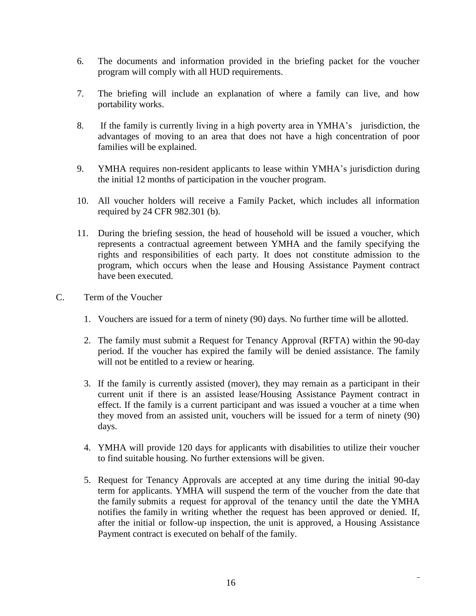- 6. The documents and information provided in the briefing packet for the voucher program will comply with all HUD requirements.
- 7. The briefing will include an explanation of where a family can live, and how portability works.
- 8. If the family is currently living in a high poverty area in YMHA's jurisdiction, the advantages of moving to an area that does not have a high concentration of poor families will be explained.
- 9. YMHA requires non-resident applicants to lease within YMHA's jurisdiction during the initial 12 months of participation in the voucher program.
- 10. All voucher holders will receive a Family Packet, which includes all information required by 24 CFR 982.301 (b).
- 11. During the briefing session, the head of household will be issued a voucher, which represents a contractual agreement between YMHA and the family specifying the rights and responsibilities of each party. It does not constitute admission to the program, which occurs when the lease and Housing Assistance Payment contract have been executed.
- C. Term of the Voucher
	- 1. Vouchers are issued for a term of ninety (90) days. No further time will be allotted.
	- 2. The family must submit a Request for Tenancy Approval (RFTA) within the 90-day period. If the voucher has expired the family will be denied assistance. The family will not be entitled to a review or hearing.
	- 3. If the family is currently assisted (mover), they may remain as a participant in their current unit if there is an assisted lease/Housing Assistance Payment contract in effect. If the family is a current participant and was issued a voucher at a time when they moved from an assisted unit, vouchers will be issued for a term of ninety (90) days.
	- 4. YMHA will provide 120 days for applicants with disabilities to utilize their voucher to find suitable housing. No further extensions will be given.
	- 5. Request for Tenancy Approvals are accepted at any time during the initial 90-day term for applicants. YMHA will suspend the term of the voucher from the date that the [family](https://www.law.cornell.edu/definitions/index.php?width=840&height=800&iframe=true&def_id=c53cf78cbf206c9ab3ef77db1a2fe6f6&term_occur=5&term_src=Title:24:Subtitle:B:Chapter:IX:Part:982:Subpart:G:982.303) submits a request for approval of the tenancy until the date the YMHA notifies the [family](https://www.law.cornell.edu/definitions/index.php?width=840&height=800&iframe=true&def_id=c53cf78cbf206c9ab3ef77db1a2fe6f6&term_occur=6&term_src=Title:24:Subtitle:B:Chapter:IX:Part:982:Subpart:G:982.303) in writing whether the request has been approved or denied. If, after the initial or follow-up inspection, the unit is approved, a Housing Assistance Payment contract is executed on behalf of the family.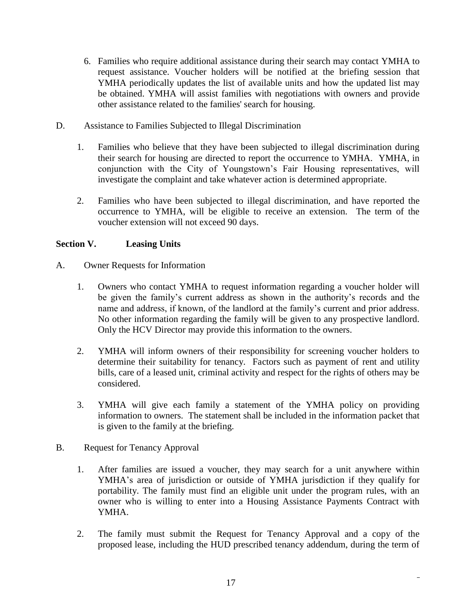- 6. Families who require additional assistance during their search may contact YMHA to request assistance. Voucher holders will be notified at the briefing session that YMHA periodically updates the list of available units and how the updated list may be obtained. YMHA will assist families with negotiations with owners and provide other assistance related to the families' search for housing.
- D. Assistance to Families Subjected to Illegal Discrimination
	- 1. Families who believe that they have been subjected to illegal discrimination during their search for housing are directed to report the occurrence to YMHA. YMHA, in conjunction with the City of Youngstown's Fair Housing representatives, will investigate the complaint and take whatever action is determined appropriate.
	- 2. Families who have been subjected to illegal discrimination, and have reported the occurrence to YMHA, will be eligible to receive an extension. The term of the voucher extension will not exceed 90 days.

# **Section V. Leasing Units**

- A. Owner Requests for Information
	- 1. Owners who contact YMHA to request information regarding a voucher holder will be given the family's current address as shown in the authority's records and the name and address, if known, of the landlord at the family's current and prior address. No other information regarding the family will be given to any prospective landlord. Only the HCV Director may provide this information to the owners.
	- 2. YMHA will inform owners of their responsibility for screening voucher holders to determine their suitability for tenancy. Factors such as payment of rent and utility bills, care of a leased unit, criminal activity and respect for the rights of others may be considered.
	- 3. YMHA will give each family a statement of the YMHA policy on providing information to owners. The statement shall be included in the information packet that is given to the family at the briefing.
- B. Request for Tenancy Approval
	- 1. After families are issued a voucher, they may search for a unit anywhere within YMHA's area of jurisdiction or outside of YMHA jurisdiction if they qualify for portability. The family must find an eligible unit under the program rules, with an owner who is willing to enter into a Housing Assistance Payments Contract with YMHA.
	- 2. The family must submit the Request for Tenancy Approval and a copy of the proposed lease, including the HUD prescribed tenancy addendum, during the term of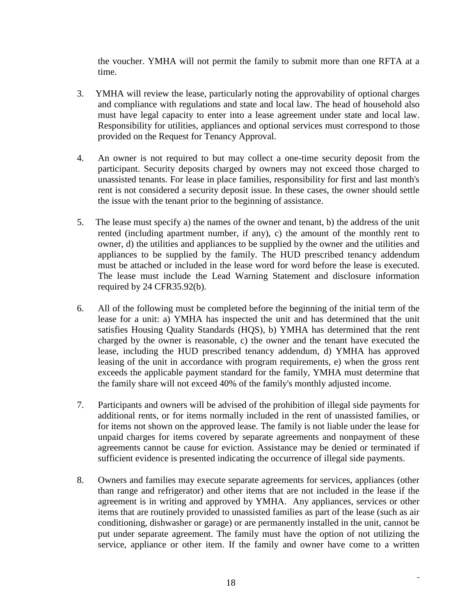the voucher. YMHA will not permit the family to submit more than one RFTA at a time.

- 3. YMHA will review the lease, particularly noting the approvability of optional charges and compliance with regulations and state and local law. The head of household also must have legal capacity to enter into a lease agreement under state and local law. Responsibility for utilities, appliances and optional services must correspond to those provided on the Request for Tenancy Approval.
- 4. An owner is not required to but may collect a one-time security deposit from the participant. Security deposits charged by owners may not exceed those charged to unassisted tenants. For lease in place families, responsibility for first and last month's rent is not considered a security deposit issue. In these cases, the owner should settle the issue with the tenant prior to the beginning of assistance.
- 5. The lease must specify a) the names of the owner and tenant, b) the address of the unit rented (including apartment number, if any), c) the amount of the monthly rent to owner, d) the utilities and appliances to be supplied by the owner and the utilities and appliances to be supplied by the family. The HUD prescribed tenancy addendum must be attached or included in the lease word for word before the lease is executed. The lease must include the Lead Warning Statement and disclosure information required by 24 CFR35.92(b).
- 6. All of the following must be completed before the beginning of the initial term of the lease for a unit: a) YMHA has inspected the unit and has determined that the unit satisfies Housing Quality Standards (HQS), b) YMHA has determined that the rent charged by the owner is reasonable, c) the owner and the tenant have executed the lease, including the HUD prescribed tenancy addendum, d) YMHA has approved leasing of the unit in accordance with program requirements, e) when the gross rent exceeds the applicable payment standard for the family, YMHA must determine that the family share will not exceed 40% of the family's monthly adjusted income.
- 7. Participants and owners will be advised of the prohibition of illegal side payments for additional rents, or for items normally included in the rent of unassisted families, or for items not shown on the approved lease. The family is not liable under the lease for unpaid charges for items covered by separate agreements and nonpayment of these agreements cannot be cause for eviction. Assistance may be denied or terminated if sufficient evidence is presented indicating the occurrence of illegal side payments.
- 8. Owners and families may execute separate agreements for services, appliances (other than range and refrigerator) and other items that are not included in the lease if the agreement is in writing and approved by YMHA. Any appliances, services or other items that are routinely provided to unassisted families as part of the lease (such as air conditioning, dishwasher or garage) or are permanently installed in the unit, cannot be put under separate agreement. The family must have the option of not utilizing the service, appliance or other item. If the family and owner have come to a written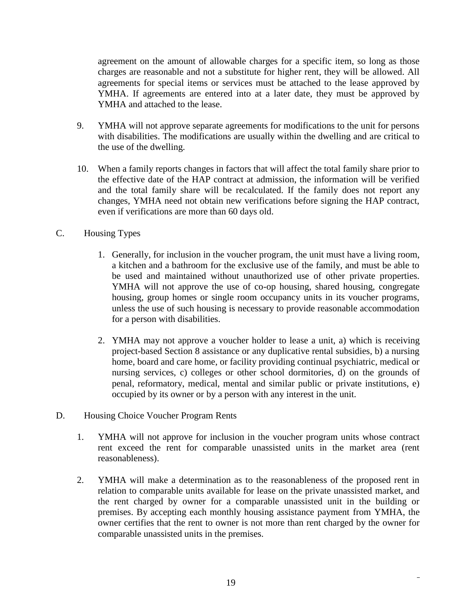agreement on the amount of allowable charges for a specific item, so long as those charges are reasonable and not a substitute for higher rent, they will be allowed. All agreements for special items or services must be attached to the lease approved by YMHA. If agreements are entered into at a later date, they must be approved by YMHA and attached to the lease.

- 9. YMHA will not approve separate agreements for modifications to the unit for persons with disabilities. The modifications are usually within the dwelling and are critical to the use of the dwelling.
- 10. When a family reports changes in factors that will affect the total family share prior to the effective date of the HAP contract at admission, the information will be verified and the total family share will be recalculated. If the family does not report any changes, YMHA need not obtain new verifications before signing the HAP contract, even if verifications are more than 60 days old.
- C. Housing Types
	- 1. Generally, for inclusion in the voucher program, the unit must have a living room, a kitchen and a bathroom for the exclusive use of the family, and must be able to be used and maintained without unauthorized use of other private properties. YMHA will not approve the use of co-op housing, shared housing, congregate housing, group homes or single room occupancy units in its voucher programs, unless the use of such housing is necessary to provide reasonable accommodation for a person with disabilities.
	- 2. YMHA may not approve a voucher holder to lease a unit, a) which is receiving project-based Section 8 assistance or any duplicative rental subsidies, b) a nursing home, board and care home, or facility providing continual psychiatric, medical or nursing services, c) colleges or other school dormitories, d) on the grounds of penal, reformatory, medical, mental and similar public or private institutions, e) occupied by its owner or by a person with any interest in the unit.
- D. Housing Choice Voucher Program Rents
	- 1. YMHA will not approve for inclusion in the voucher program units whose contract rent exceed the rent for comparable unassisted units in the market area (rent reasonableness).
	- 2. YMHA will make a determination as to the reasonableness of the proposed rent in relation to comparable units available for lease on the private unassisted market, and the rent charged by owner for a comparable unassisted unit in the building or premises. By accepting each monthly housing assistance payment from YMHA, the owner certifies that the rent to owner is not more than rent charged by the owner for comparable unassisted units in the premises.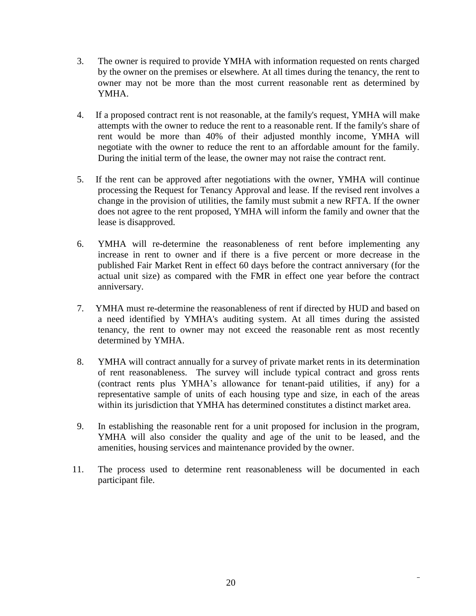- 3. The owner is required to provide YMHA with information requested on rents charged by the owner on the premises or elsewhere. At all times during the tenancy, the rent to owner may not be more than the most current reasonable rent as determined by YMHA.
- 4. If a proposed contract rent is not reasonable, at the family's request, YMHA will make attempts with the owner to reduce the rent to a reasonable rent. If the family's share of rent would be more than 40% of their adjusted monthly income, YMHA will negotiate with the owner to reduce the rent to an affordable amount for the family. During the initial term of the lease, the owner may not raise the contract rent.
- 5. If the rent can be approved after negotiations with the owner, YMHA will continue processing the Request for Tenancy Approval and lease. If the revised rent involves a change in the provision of utilities, the family must submit a new RFTA. If the owner does not agree to the rent proposed, YMHA will inform the family and owner that the lease is disapproved.
- 6. YMHA will re-determine the reasonableness of rent before implementing any increase in rent to owner and if there is a five percent or more decrease in the published Fair Market Rent in effect 60 days before the contract anniversary (for the actual unit size) as compared with the FMR in effect one year before the contract anniversary.
- 7. YMHA must re-determine the reasonableness of rent if directed by HUD and based on a need identified by YMHA's auditing system. At all times during the assisted tenancy, the rent to owner may not exceed the reasonable rent as most recently determined by YMHA.
- 8. YMHA will contract annually for a survey of private market rents in its determination of rent reasonableness. The survey will include typical contract and gross rents (contract rents plus YMHA's allowance for tenant-paid utilities, if any) for a representative sample of units of each housing type and size, in each of the areas within its jurisdiction that YMHA has determined constitutes a distinct market area.
- 9. In establishing the reasonable rent for a unit proposed for inclusion in the program, YMHA will also consider the quality and age of the unit to be leased, and the amenities, housing services and maintenance provided by the owner.
- 11. The process used to determine rent reasonableness will be documented in each participant file.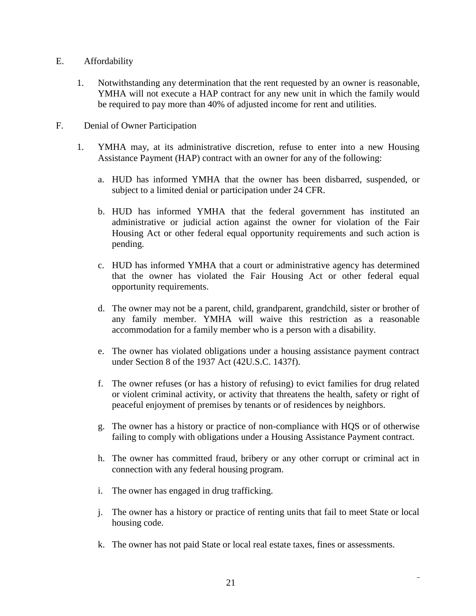- E. Affordability
	- 1. Notwithstanding any determination that the rent requested by an owner is reasonable, YMHA will not execute a HAP contract for any new unit in which the family would be required to pay more than 40% of adjusted income for rent and utilities.
- F. Denial of Owner Participation
	- 1. YMHA may, at its administrative discretion, refuse to enter into a new Housing Assistance Payment (HAP) contract with an owner for any of the following:
		- a. HUD has informed YMHA that the owner has been disbarred, suspended, or subject to a limited denial or participation under 24 CFR.
		- b. HUD has informed YMHA that the federal government has instituted an administrative or judicial action against the owner for violation of the Fair Housing Act or other federal equal opportunity requirements and such action is pending.
		- c. HUD has informed YMHA that a court or administrative agency has determined that the owner has violated the Fair Housing Act or other federal equal opportunity requirements.
		- d. The owner may not be a parent, child, grandparent, grandchild, sister or brother of any family member. YMHA will waive this restriction as a reasonable accommodation for a family member who is a person with a disability.
		- e. The owner has violated obligations under a housing assistance payment contract under Section 8 of the 1937 Act (42U.S.C. 1437f).
		- f. The owner refuses (or has a history of refusing) to evict families for drug related or violent criminal activity, or activity that threatens the health, safety or right of peaceful enjoyment of premises by tenants or of residences by neighbors.
		- g. The owner has a history or practice of non-compliance with HQS or of otherwise failing to comply with obligations under a Housing Assistance Payment contract.
		- h. The owner has committed fraud, bribery or any other corrupt or criminal act in connection with any federal housing program.
		- i. The owner has engaged in drug trafficking.
		- j. The owner has a history or practice of renting units that fail to meet State or local housing code.
		- k. The owner has not paid State or local real estate taxes, fines or assessments.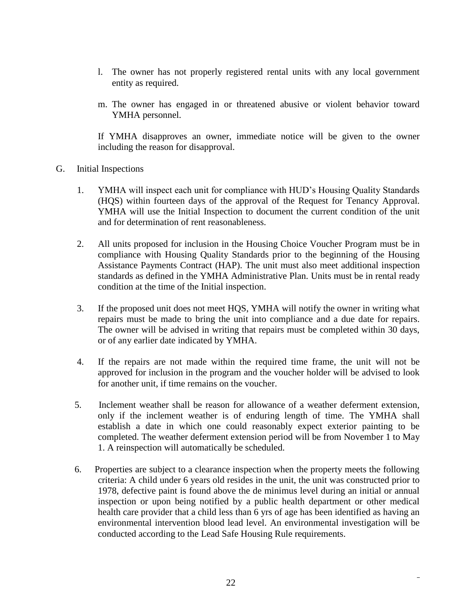- l. The owner has not properly registered rental units with any local government entity as required.
- m. The owner has engaged in or threatened abusive or violent behavior toward YMHA personnel.

If YMHA disapproves an owner, immediate notice will be given to the owner including the reason for disapproval.

- G. Initial Inspections
	- 1. YMHA will inspect each unit for compliance with HUD's Housing Quality Standards (HQS) within fourteen days of the approval of the Request for Tenancy Approval. YMHA will use the Initial Inspection to document the current condition of the unit and for determination of rent reasonableness.
	- 2. All units proposed for inclusion in the Housing Choice Voucher Program must be in compliance with Housing Quality Standards prior to the beginning of the Housing Assistance Payments Contract (HAP). The unit must also meet additional inspection standards as defined in the YMHA Administrative Plan. Units must be in rental ready condition at the time of the Initial inspection.
	- 3. If the proposed unit does not meet HQS, YMHA will notify the owner in writing what repairs must be made to bring the unit into compliance and a due date for repairs. The owner will be advised in writing that repairs must be completed within 30 days, or of any earlier date indicated by YMHA.
	- 4. If the repairs are not made within the required time frame, the unit will not be approved for inclusion in the program and the voucher holder will be advised to look for another unit, if time remains on the voucher.
	- 5. Inclement weather shall be reason for allowance of a weather deferment extension, only if the inclement weather is of enduring length of time. The YMHA shall establish a date in which one could reasonably expect exterior painting to be completed. The weather deferment extension period will be from November 1 to May 1. A reinspection will automatically be scheduled.
	- 6. Properties are subject to a clearance inspection when the property meets the following criteria: A child under 6 years old resides in the unit, the unit was constructed prior to 1978, defective paint is found above the de minimus level during an initial or annual inspection or upon being notified by a public health department or other medical health care provider that a child less than 6 yrs of age has been identified as having an environmental intervention blood lead level. An environmental investigation will be conducted according to the Lead Safe Housing Rule requirements.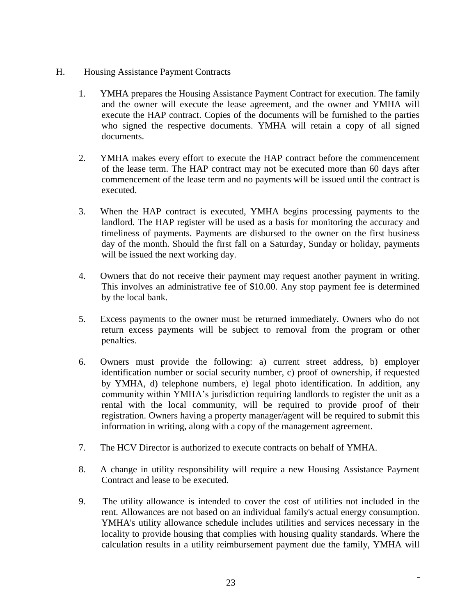- H. Housing Assistance Payment Contracts
	- 1. YMHA prepares the Housing Assistance Payment Contract for execution. The family and the owner will execute the lease agreement, and the owner and YMHA will execute the HAP contract. Copies of the documents will be furnished to the parties who signed the respective documents. YMHA will retain a copy of all signed documents.
	- 2. YMHA makes every effort to execute the HAP contract before the commencement of the lease term. The HAP contract may not be executed more than 60 days after commencement of the lease term and no payments will be issued until the contract is executed.
	- 3. When the HAP contract is executed, YMHA begins processing payments to the landlord. The HAP register will be used as a basis for monitoring the accuracy and timeliness of payments. Payments are disbursed to the owner on the first business day of the month. Should the first fall on a Saturday, Sunday or holiday, payments will be issued the next working day.
	- 4. Owners that do not receive their payment may request another payment in writing. This involves an administrative fee of \$10.00. Any stop payment fee is determined by the local bank.
	- 5. Excess payments to the owner must be returned immediately. Owners who do not return excess payments will be subject to removal from the program or other penalties.
	- 6. Owners must provide the following: a) current street address, b) employer identification number or social security number, c) proof of ownership, if requested by YMHA, d) telephone numbers, e) legal photo identification. In addition, any community within YMHA's jurisdiction requiring landlords to register the unit as a rental with the local community, will be required to provide proof of their registration. Owners having a property manager/agent will be required to submit this information in writing, along with a copy of the management agreement.
	- 7. The HCV Director is authorized to execute contracts on behalf of YMHA.
	- 8. A change in utility responsibility will require a new Housing Assistance Payment Contract and lease to be executed.
	- 9. The utility allowance is intended to cover the cost of utilities not included in the rent. Allowances are not based on an individual family's actual energy consumption. YMHA's utility allowance schedule includes utilities and services necessary in the locality to provide housing that complies with housing quality standards. Where the calculation results in a utility reimbursement payment due the family, YMHA will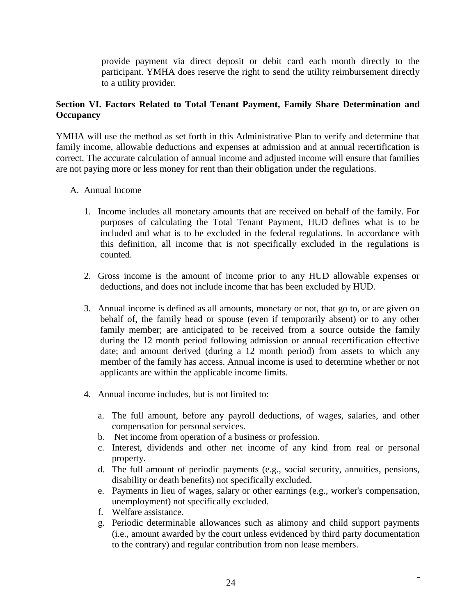provide payment via direct deposit or debit card each month directly to the participant. YMHA does reserve the right to send the utility reimbursement directly to a utility provider.

# **Section VI. Factors Related to Total Tenant Payment, Family Share Determination and Occupancy**

YMHA will use the method as set forth in this Administrative Plan to verify and determine that family income, allowable deductions and expenses at admission and at annual recertification is correct. The accurate calculation of annual income and adjusted income will ensure that families are not paying more or less money for rent than their obligation under the regulations.

#### A. Annual Income

- 1. Income includes all monetary amounts that are received on behalf of the family. For purposes of calculating the Total Tenant Payment, HUD defines what is to be included and what is to be excluded in the federal regulations. In accordance with this definition, all income that is not specifically excluded in the regulations is counted.
- 2. Gross income is the amount of income prior to any HUD allowable expenses or deductions, and does not include income that has been excluded by HUD.
- 3. Annual income is defined as all amounts, monetary or not, that go to, or are given on behalf of, the family head or spouse (even if temporarily absent) or to any other family member; are anticipated to be received from a source outside the family during the 12 month period following admission or annual recertification effective date; and amount derived (during a 12 month period) from assets to which any member of the family has access. Annual income is used to determine whether or not applicants are within the applicable income limits.
- 4. Annual income includes, but is not limited to:
	- a. The full amount, before any payroll deductions, of wages, salaries, and other compensation for personal services.
	- b. Net income from operation of a business or profession.
	- c. Interest, dividends and other net income of any kind from real or personal property.
	- d. The full amount of periodic payments (e.g., social security, annuities, pensions, disability or death benefits) not specifically excluded.
	- e. Payments in lieu of wages, salary or other earnings (e.g., worker's compensation, unemployment) not specifically excluded.
	- f. Welfare assistance.
	- g. Periodic determinable allowances such as alimony and child support payments (i.e., amount awarded by the court unless evidenced by third party documentation to the contrary) and regular contribution from non lease members.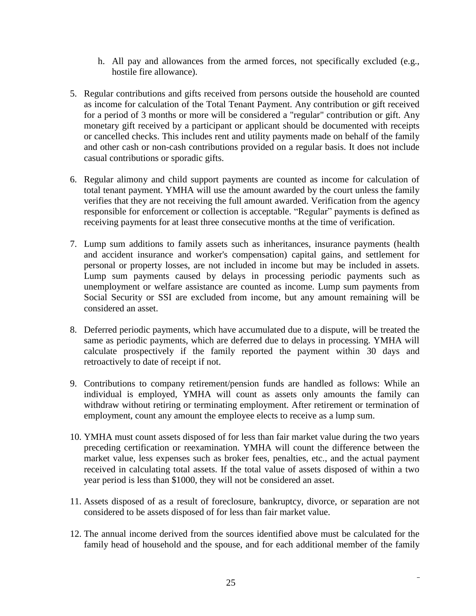- h. All pay and allowances from the armed forces, not specifically excluded (e.g., hostile fire allowance).
- 5. Regular contributions and gifts received from persons outside the household are counted as income for calculation of the Total Tenant Payment. Any contribution or gift received for a period of 3 months or more will be considered a "regular" contribution or gift. Any monetary gift received by a participant or applicant should be documented with receipts or cancelled checks. This includes rent and utility payments made on behalf of the family and other cash or non-cash contributions provided on a regular basis. It does not include casual contributions or sporadic gifts.
- 6. Regular alimony and child support payments are counted as income for calculation of total tenant payment. YMHA will use the amount awarded by the court unless the family verifies that they are not receiving the full amount awarded. Verification from the agency responsible for enforcement or collection is acceptable. "Regular" payments is defined as receiving payments for at least three consecutive months at the time of verification.
- 7. Lump sum additions to family assets such as inheritances, insurance payments (health and accident insurance and worker's compensation) capital gains, and settlement for personal or property losses, are not included in income but may be included in assets. Lump sum payments caused by delays in processing periodic payments such as unemployment or welfare assistance are counted as income. Lump sum payments from Social Security or SSI are excluded from income, but any amount remaining will be considered an asset.
- 8. Deferred periodic payments, which have accumulated due to a dispute, will be treated the same as periodic payments, which are deferred due to delays in processing. YMHA will calculate prospectively if the family reported the payment within 30 days and retroactively to date of receipt if not.
- 9. Contributions to company retirement/pension funds are handled as follows: While an individual is employed, YMHA will count as assets only amounts the family can withdraw without retiring or terminating employment. After retirement or termination of employment, count any amount the employee elects to receive as a lump sum.
- 10. YMHA must count assets disposed of for less than fair market value during the two years preceding certification or reexamination. YMHA will count the difference between the market value, less expenses such as broker fees, penalties, etc., and the actual payment received in calculating total assets. If the total value of assets disposed of within a two year period is less than \$1000, they will not be considered an asset.
- 11. Assets disposed of as a result of foreclosure, bankruptcy, divorce, or separation are not considered to be assets disposed of for less than fair market value.
- 12. The annual income derived from the sources identified above must be calculated for the family head of household and the spouse, and for each additional member of the family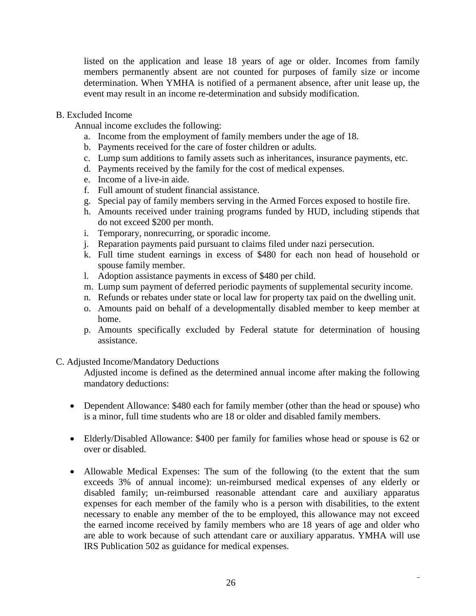listed on the application and lease 18 years of age or older. Incomes from family members permanently absent are not counted for purposes of family size or income determination. When YMHA is notified of a permanent absence, after unit lease up, the event may result in an income re-determination and subsidy modification.

#### B. Excluded Income

Annual income excludes the following:

- a. Income from the employment of family members under the age of 18.
- b. Payments received for the care of foster children or adults.
- c. Lump sum additions to family assets such as inheritances, insurance payments, etc.
- d. Payments received by the family for the cost of medical expenses.
- e. Income of a live-in aide.
- f. Full amount of student financial assistance.
- g. Special pay of family members serving in the Armed Forces exposed to hostile fire.
- h. Amounts received under training programs funded by HUD, including stipends that do not exceed \$200 per month.
- i. Temporary, nonrecurring, or sporadic income.
- j. Reparation payments paid pursuant to claims filed under nazi persecution.
- k. Full time student earnings in excess of \$480 for each non head of household or spouse family member.
- l. Adoption assistance payments in excess of \$480 per child.
- m. Lump sum payment of deferred periodic payments of supplemental security income.
- n. Refunds or rebates under state or local law for property tax paid on the dwelling unit.
- o. Amounts paid on behalf of a developmentally disabled member to keep member at home.
- p. Amounts specifically excluded by Federal statute for determination of housing assistance.

#### C. Adjusted Income/Mandatory Deductions

Adjusted income is defined as the determined annual income after making the following mandatory deductions:

- Dependent Allowance: \$480 each for family member (other than the head or spouse) who is a minor, full time students who are 18 or older and disabled family members.
- Elderly/Disabled Allowance: \$400 per family for families whose head or spouse is 62 or over or disabled.
- Allowable Medical Expenses: The sum of the following (to the extent that the sum exceeds 3% of annual income): un-reimbursed medical expenses of any elderly or disabled family; un-reimbursed reasonable attendant care and auxiliary apparatus expenses for each member of the family who is a person with disabilities, to the extent necessary to enable any member of the to be employed, this allowance may not exceed the earned income received by family members who are 18 years of age and older who are able to work because of such attendant care or auxiliary apparatus. YMHA will use IRS Publication 502 as guidance for medical expenses.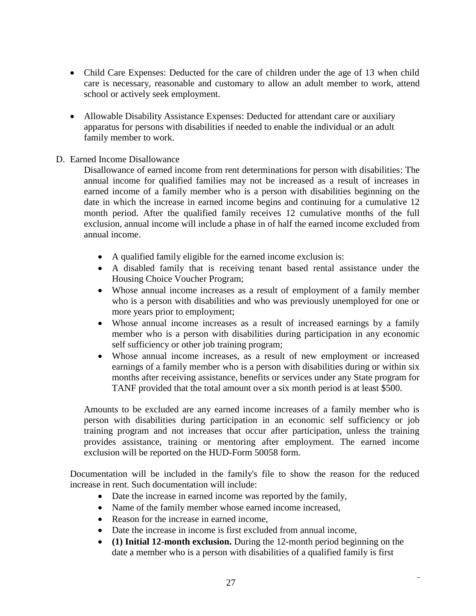- Child Care Expenses: Deducted for the care of children under the age of 13 when child care is necessary, reasonable and customary to allow an adult member to work, attend school or actively seek employment.
- Allowable Disability Assistance Expenses: Deducted for attendant care or auxiliary apparatus for persons with disabilities if needed to enable the individual or an adult family member to work.

#### D. Earned Income Disallowance

Disallowance of earned income from rent determinations for person with disabilities: The annual income for qualified families may not be increased as a result of increases in earned income of a family member who is a person with disabilities beginning on the date in which the increase in earned income begins and continuing for a cumulative 12 month period. After the qualified family receives 12 cumulative months of the full exclusion, annual income will include a phase in of half the earned income excluded from annual income.

- A qualified family eligible for the earned income exclusion is:
- A disabled family that is receiving tenant based rental assistance under the Housing Choice Voucher Program;
- Whose annual income increases as a result of employment of a family member who is a person with disabilities and who was previously unemployed for one or more years prior to employment;
- Whose annual income increases as a result of increased earnings by a family member who is a person with disabilities during participation in any economic self sufficiency or other job training program;
- Whose annual income increases, as a result of new employment or increased earnings of a family member who is a person with disabilities during or within six months after receiving assistance, benefits or services under any State program for TANF provided that the total amount over a six month period is at least \$500.

Amounts to be excluded are any earned income increases of a family member who is person with disabilities during participation in an economic self sufficiency or job training program and not increases that occur after participation, unless the training provides assistance, training or mentoring after employment. The earned income exclusion will be reported on the HUD-Form 50058 form.

Documentation will be included in the family's file to show the reason for the reduced increase in rent. Such documentation will include:

- Date the increase in earned income was reported by the family,
- Name of the family member whose earned income increased,
- Reason for the increase in earned income.
- Date the increase in income is first excluded from annual income,
- **(1) Initial 12-month exclusion.** During the 12-month period beginning on the date a member who is a person with disabilities of a qualified family is first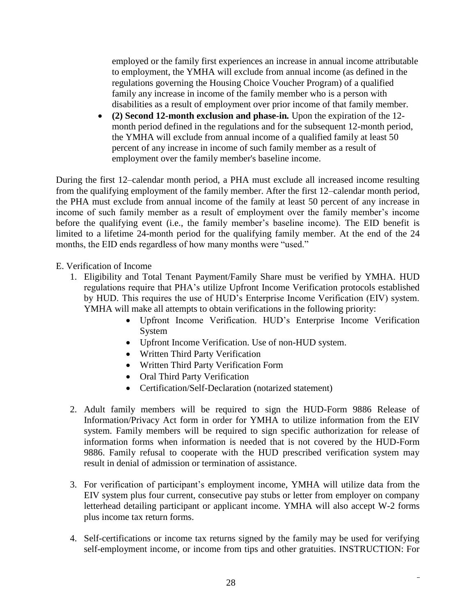employed or the family first experiences an increase in annual income attributable to employment, the YMHA will exclude from annual income (as defined in the regulations governing the Housing Choice Voucher Program) of a qualified family any increase in income of the family member who is a person with disabilities as a result of employment over prior income of that family member.

 **(2) Second 12-month exclusion and phase-in***.* Upon the expiration of the 12 month period defined in the regulations and for the subsequent 12-month period, the YMHA will exclude from annual income of a qualified family at least 50 percent of any increase in income of such family member as a result of employment over the family member's baseline income.

During the first 12–calendar month period, a PHA must exclude all increased income resulting from the qualifying employment of the family member. After the first 12–calendar month period, the PHA must exclude from annual income of the family at least 50 percent of any increase in income of such family member as a result of employment over the family member's income before the qualifying event (i.e., the family member's baseline income). The EID benefit is limited to a lifetime 24-month period for the qualifying family member. At the end of the 24 months, the EID ends regardless of how many months were "used."

# E. Verification of Income

- 1. Eligibility and Total Tenant Payment/Family Share must be verified by YMHA. HUD regulations require that PHA's utilize Upfront Income Verification protocols established by HUD. This requires the use of HUD's Enterprise Income Verification (EIV) system. YMHA will make all attempts to obtain verifications in the following priority:
	- Upfront Income Verification. HUD's Enterprise Income Verification System
	- Upfront Income Verification. Use of non-HUD system.
	- Written Third Party Verification
	- Written Third Party Verification Form
	- Oral Third Party Verification
	- Certification/Self-Declaration (notarized statement)
- 2. Adult family members will be required to sign the HUD-Form 9886 Release of Information/Privacy Act form in order for YMHA to utilize information from the EIV system. Family members will be required to sign specific authorization for release of information forms when information is needed that is not covered by the HUD-Form 9886. Family refusal to cooperate with the HUD prescribed verification system may result in denial of admission or termination of assistance.
- 3. For verification of participant's employment income, YMHA will utilize data from the EIV system plus four current, consecutive pay stubs or letter from employer on company letterhead detailing participant or applicant income. YMHA will also accept W-2 forms plus income tax return forms.
- 4. Self-certifications or income tax returns signed by the family may be used for verifying self-employment income, or income from tips and other gratuities. INSTRUCTION: For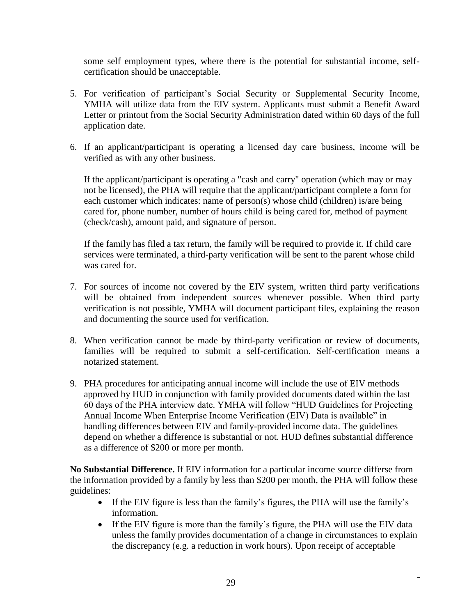some self employment types, where there is the potential for substantial income, selfcertification should be unacceptable.

- 5. For verification of participant's Social Security or Supplemental Security Income, YMHA will utilize data from the EIV system. Applicants must submit a Benefit Award Letter or printout from the Social Security Administration dated within 60 days of the full application date.
- 6. If an applicant/participant is operating a licensed day care business, income will be verified as with any other business.

If the applicant/participant is operating a "cash and carry" operation (which may or may not be licensed), the PHA will require that the applicant/participant complete a form for each customer which indicates: name of person(s) whose child (children) is/are being cared for, phone number, number of hours child is being cared for, method of payment (check/cash), amount paid, and signature of person.

If the family has filed a tax return, the family will be required to provide it. If child care services were terminated, a third-party verification will be sent to the parent whose child was cared for.

- 7. For sources of income not covered by the EIV system, written third party verifications will be obtained from independent sources whenever possible. When third party verification is not possible, YMHA will document participant files, explaining the reason and documenting the source used for verification.
- 8. When verification cannot be made by third-party verification or review of documents, families will be required to submit a self-certification. Self-certification means a notarized statement.
- 9. PHA procedures for anticipating annual income will include the use of EIV methods approved by HUD in conjunction with family provided documents dated within the last 60 days of the PHA interview date. YMHA will follow "HUD Guidelines for Projecting Annual Income When Enterprise Income Verification (EIV) Data is available" in handling differences between EIV and family-provided income data. The guidelines depend on whether a difference is substantial or not. HUD defines substantial difference as a difference of \$200 or more per month.

**No Substantial Difference.** If EIV information for a particular income source differse from the information provided by a family by less than \$200 per month, the PHA will follow these guidelines:

- If the EIV figure is less than the family's figures, the PHA will use the family's information.
- If the EIV figure is more than the family's figure, the PHA will use the EIV data unless the family provides documentation of a change in circumstances to explain the discrepancy (e.g. a reduction in work hours). Upon receipt of acceptable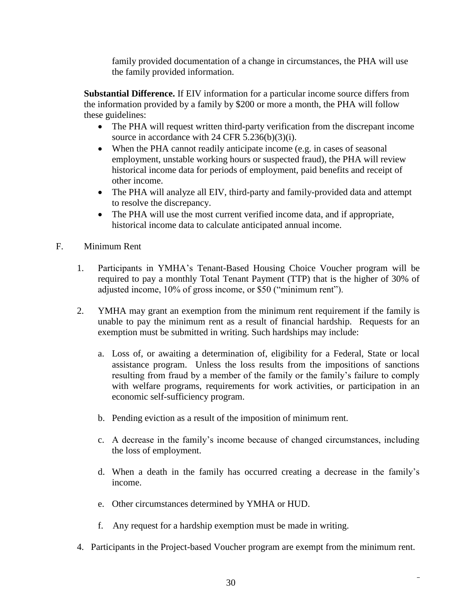family provided documentation of a change in circumstances, the PHA will use the family provided information.

**Substantial Difference.** If EIV information for a particular income source differs from the information provided by a family by \$200 or more a month, the PHA will follow these guidelines:

- The PHA will request written third-party verification from the discrepant income source in accordance with 24 CFR 5.236(b)(3)(i).
- When the PHA cannot readily anticipate income (e.g. in cases of seasonal employment, unstable working hours or suspected fraud), the PHA will review historical income data for periods of employment, paid benefits and receipt of other income.
- The PHA will analyze all EIV, third-party and family-provided data and attempt to resolve the discrepancy.
- The PHA will use the most current verified income data, and if appropriate, historical income data to calculate anticipated annual income.
- F. Minimum Rent
	- 1. Participants in YMHA's Tenant-Based Housing Choice Voucher program will be required to pay a monthly Total Tenant Payment (TTP) that is the higher of 30% of adjusted income, 10% of gross income, or \$50 ("minimum rent").
	- 2. YMHA may grant an exemption from the minimum rent requirement if the family is unable to pay the minimum rent as a result of financial hardship. Requests for an exemption must be submitted in writing. Such hardships may include:
		- a. Loss of, or awaiting a determination of, eligibility for a Federal, State or local assistance program. Unless the loss results from the impositions of sanctions resulting from fraud by a member of the family or the family's failure to comply with welfare programs, requirements for work activities, or participation in an economic self-sufficiency program.
		- b. Pending eviction as a result of the imposition of minimum rent.
		- c. A decrease in the family's income because of changed circumstances, including the loss of employment.
		- d. When a death in the family has occurred creating a decrease in the family's income.
		- e. Other circumstances determined by YMHA or HUD.
		- f. Any request for a hardship exemption must be made in writing.
	- 4. Participants in the Project-based Voucher program are exempt from the minimum rent.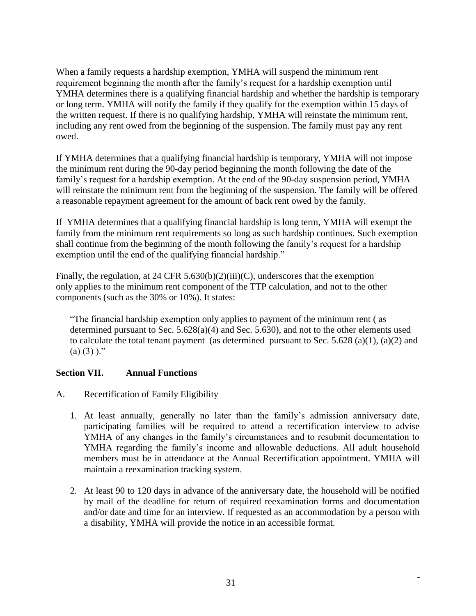When a family requests a hardship exemption, YMHA will suspend the minimum rent requirement beginning the month after the family's request for a hardship exemption until YMHA determines there is a qualifying financial hardship and whether the hardship is temporary or long term. YMHA will notify the family if they qualify for the exemption within 15 days of the written request. If there is no qualifying hardship, YMHA will reinstate the minimum rent, including any rent owed from the beginning of the suspension. The family must pay any rent owed.

If YMHA determines that a qualifying financial hardship is temporary, YMHA will not impose the minimum rent during the 90-day period beginning the month following the date of the family's request for a hardship exemption. At the end of the 90-day suspension period, YMHA will reinstate the minimum rent from the beginning of the suspension. The family will be offered a reasonable repayment agreement for the amount of back rent owed by the family.

If YMHA determines that a qualifying financial hardship is long term, YMHA will exempt the family from the minimum rent requirements so long as such hardship continues. Such exemption shall continue from the beginning of the month following the family's request for a hardship exemption until the end of the qualifying financial hardship."

Finally, the regulation, at 24 CFR 5.630(b)(2)(iii)(C), underscores that the exemption only applies to the minimum rent component of the TTP calculation, and not to the other components (such as the 30% or 10%). It states:

"The financial hardship exemption only applies to payment of the minimum rent ( as determined pursuant to Sec. 5.628(a)(4) and Sec. 5.630), and not to the other elements used to calculate the total tenant payment (as determined pursuant to Sec. 5.628 (a)(1), (a)(2) and  $(a)$  (3) )."

# **Section VII. Annual Functions**

- A. Recertification of Family Eligibility
	- 1. At least annually, generally no later than the family's admission anniversary date, participating families will be required to attend a recertification interview to advise YMHA of any changes in the family's circumstances and to resubmit documentation to YMHA regarding the family's income and allowable deductions. All adult household members must be in attendance at the Annual Recertification appointment. YMHA will maintain a reexamination tracking system.
	- 2. At least 90 to 120 days in advance of the anniversary date, the household will be notified by mail of the deadline for return of required reexamination forms and documentation and/or date and time for an interview. If requested as an accommodation by a person with a disability, YMHA will provide the notice in an accessible format.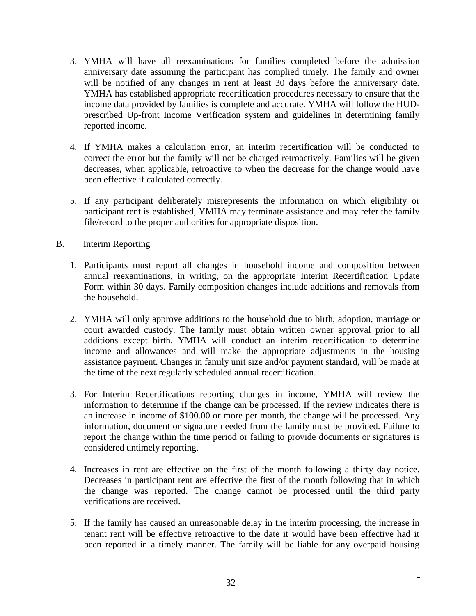- 3. YMHA will have all reexaminations for families completed before the admission anniversary date assuming the participant has complied timely. The family and owner will be notified of any changes in rent at least 30 days before the anniversary date. YMHA has established appropriate recertification procedures necessary to ensure that the income data provided by families is complete and accurate. YMHA will follow the HUDprescribed Up-front Income Verification system and guidelines in determining family reported income.
- 4. If YMHA makes a calculation error, an interim recertification will be conducted to correct the error but the family will not be charged retroactively. Families will be given decreases, when applicable, retroactive to when the decrease for the change would have been effective if calculated correctly.
- 5. If any participant deliberately misrepresents the information on which eligibility or participant rent is established, YMHA may terminate assistance and may refer the family file/record to the proper authorities for appropriate disposition.
- B. Interim Reporting
	- 1. Participants must report all changes in household income and composition between annual reexaminations, in writing, on the appropriate Interim Recertification Update Form within 30 days. Family composition changes include additions and removals from the household.
	- 2. YMHA will only approve additions to the household due to birth, adoption, marriage or court awarded custody. The family must obtain written owner approval prior to all additions except birth. YMHA will conduct an interim recertification to determine income and allowances and will make the appropriate adjustments in the housing assistance payment. Changes in family unit size and/or payment standard, will be made at the time of the next regularly scheduled annual recertification.
	- 3. For Interim Recertifications reporting changes in income, YMHA will review the information to determine if the change can be processed. If the review indicates there is an increase in income of \$100.00 or more per month, the change will be processed. Any information, document or signature needed from the family must be provided. Failure to report the change within the time period or failing to provide documents or signatures is considered untimely reporting.
	- 4. Increases in rent are effective on the first of the month following a thirty day notice. Decreases in participant rent are effective the first of the month following that in which the change was reported. The change cannot be processed until the third party verifications are received.
	- 5. If the family has caused an unreasonable delay in the interim processing, the increase in tenant rent will be effective retroactive to the date it would have been effective had it been reported in a timely manner. The family will be liable for any overpaid housing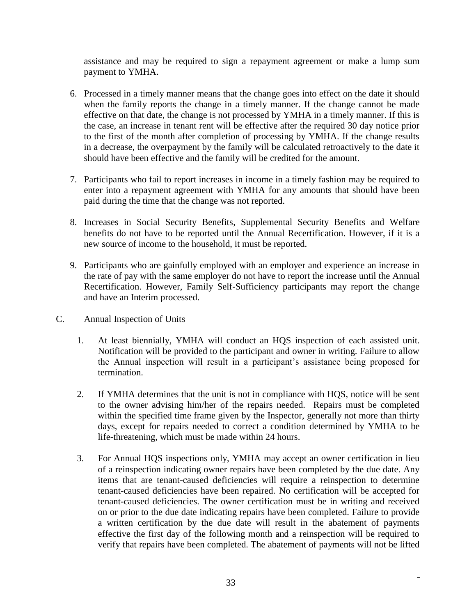assistance and may be required to sign a repayment agreement or make a lump sum payment to YMHA.

- 6. Processed in a timely manner means that the change goes into effect on the date it should when the family reports the change in a timely manner. If the change cannot be made effective on that date, the change is not processed by YMHA in a timely manner. If this is the case, an increase in tenant rent will be effective after the required 30 day notice prior to the first of the month after completion of processing by YMHA. If the change results in a decrease, the overpayment by the family will be calculated retroactively to the date it should have been effective and the family will be credited for the amount.
- 7. Participants who fail to report increases in income in a timely fashion may be required to enter into a repayment agreement with YMHA for any amounts that should have been paid during the time that the change was not reported.
- 8. Increases in Social Security Benefits, Supplemental Security Benefits and Welfare benefits do not have to be reported until the Annual Recertification. However, if it is a new source of income to the household, it must be reported.
- 9. Participants who are gainfully employed with an employer and experience an increase in the rate of pay with the same employer do not have to report the increase until the Annual Recertification. However, Family Self-Sufficiency participants may report the change and have an Interim processed.
- C. Annual Inspection of Units
	- 1. At least biennially, YMHA will conduct an HQS inspection of each assisted unit. Notification will be provided to the participant and owner in writing. Failure to allow the Annual inspection will result in a participant's assistance being proposed for termination.
	- 2. If YMHA determines that the unit is not in compliance with HQS, notice will be sent to the owner advising him/her of the repairs needed. Repairs must be completed within the specified time frame given by the Inspector, generally not more than thirty days, except for repairs needed to correct a condition determined by YMHA to be life-threatening, which must be made within 24 hours.
	- 3. For Annual HQS inspections only, YMHA may accept an owner certification in lieu of a reinspection indicating owner repairs have been completed by the due date. Any items that are tenant-caused deficiencies will require a reinspection to determine tenant-caused deficiencies have been repaired. No certification will be accepted for tenant-caused deficiencies. The owner certification must be in writing and received on or prior to the due date indicating repairs have been completed. Failure to provide a written certification by the due date will result in the abatement of payments effective the first day of the following month and a reinspection will be required to verify that repairs have been completed. The abatement of payments will not be lifted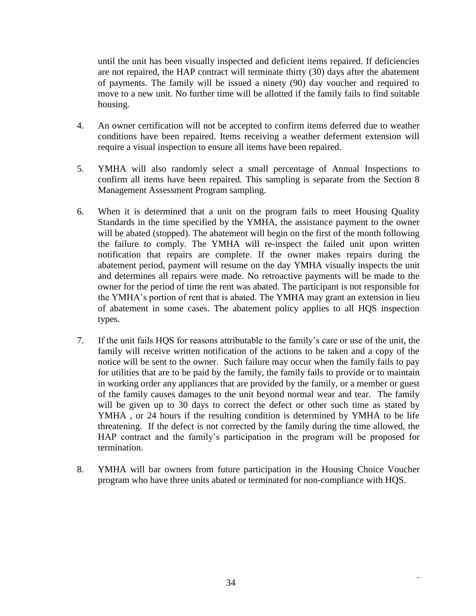until the unit has been visually inspected and deficient items repaired. If deficiencies are not repaired, the HAP contract will terminate thirty (30) days after the abatement of payments. The family will be issued a ninety (90) day voucher and required to move to a new unit. No further time will be allotted if the family fails to find suitable housing.

- 4. An owner certification will not be accepted to confirm items deferred due to weather conditions have been repaired. Items receiving a weather deferment extension will require a visual inspection to ensure all items have been repaired.
- 5. YMHA will also randomly select a small percentage of Annual Inspections to confirm all items have been repaired. This sampling is separate from the Section 8 Management Assessment Program sampling.
- 6. When it is determined that a unit on the program fails to meet Housing Quality Standards in the time specified by the YMHA, the assistance payment to the owner will be abated (stopped). The abatement will begin on the first of the month following the failure to comply. The YMHA will re-inspect the failed unit upon written notification that repairs are complete. If the owner makes repairs during the abatement period, payment will resume on the day YMHA visually inspects the unit and determines all repairs were made. No retroactive payments will be made to the owner for the period of time the rent was abated. The participant is not responsible for the YMHA's portion of rent that is abated. The YMHA may grant an extension in lieu of abatement in some cases. The abatement policy applies to all HQS inspection types.
- 7. If the unit fails HQS for reasons attributable to the family's care or use of the unit, the family will receive written notification of the actions to be taken and a copy of the notice will be sent to the owner. Such failure may occur when the family fails to pay for utilities that are to be paid by the family, the family fails to provide or to maintain in working order any appliances that are provided by the family, or a member or guest of the family causes damages to the unit beyond normal wear and tear. The family will be given up to 30 days to correct the defect or other such time as stated by YMHA , or 24 hours if the resulting condition is determined by YMHA to be life threatening. If the defect is not corrected by the family during the time allowed, the HAP contract and the family's participation in the program will be proposed for termination.
- 8. YMHA will bar owners from future participation in the Housing Choice Voucher program who have three units abated or terminated for non-compliance with HQS.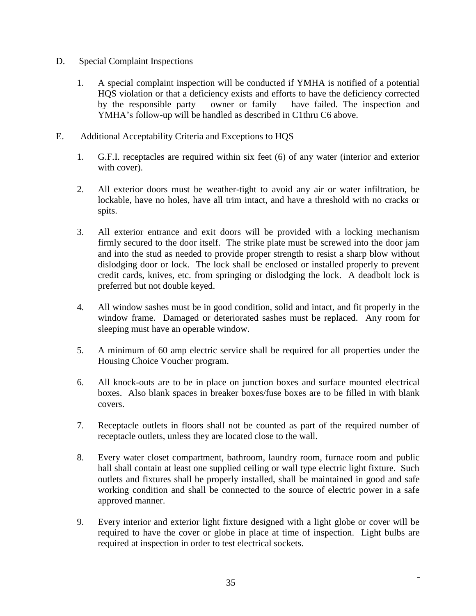- D. Special Complaint Inspections
	- 1. A special complaint inspection will be conducted if YMHA is notified of a potential HQS violation or that a deficiency exists and efforts to have the deficiency corrected by the responsible party – owner or family – have failed. The inspection and YMHA's follow-up will be handled as described in C1thru C6 above.
- E. Additional Acceptability Criteria and Exceptions to HQS
	- 1. G.F.I. receptacles are required within six feet (6) of any water (interior and exterior with cover).
	- 2. All exterior doors must be weather-tight to avoid any air or water infiltration, be lockable, have no holes, have all trim intact, and have a threshold with no cracks or spits.
	- 3. All exterior entrance and exit doors will be provided with a locking mechanism firmly secured to the door itself. The strike plate must be screwed into the door jam and into the stud as needed to provide proper strength to resist a sharp blow without dislodging door or lock. The lock shall be enclosed or installed properly to prevent credit cards, knives, etc. from springing or dislodging the lock. A deadbolt lock is preferred but not double keyed.
	- 4. All window sashes must be in good condition, solid and intact, and fit properly in the window frame. Damaged or deteriorated sashes must be replaced. Any room for sleeping must have an operable window.
	- 5. A minimum of 60 amp electric service shall be required for all properties under the Housing Choice Voucher program.
	- 6. All knock-outs are to be in place on junction boxes and surface mounted electrical boxes. Also blank spaces in breaker boxes/fuse boxes are to be filled in with blank covers.
	- 7. Receptacle outlets in floors shall not be counted as part of the required number of receptacle outlets, unless they are located close to the wall.
	- 8. Every water closet compartment, bathroom, laundry room, furnace room and public hall shall contain at least one supplied ceiling or wall type electric light fixture. Such outlets and fixtures shall be properly installed, shall be maintained in good and safe working condition and shall be connected to the source of electric power in a safe approved manner.
	- 9. Every interior and exterior light fixture designed with a light globe or cover will be required to have the cover or globe in place at time of inspection. Light bulbs are required at inspection in order to test electrical sockets.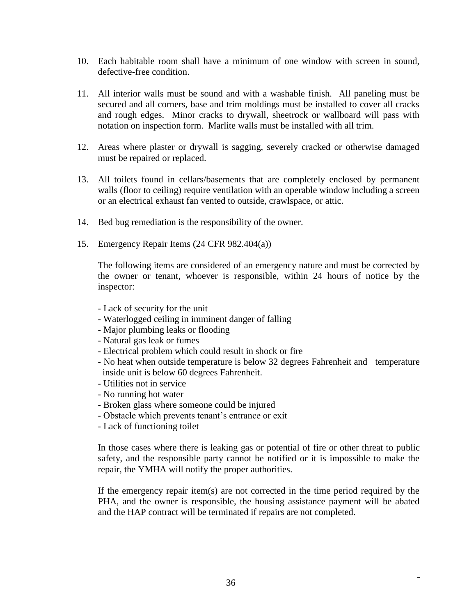- 10. Each habitable room shall have a minimum of one window with screen in sound, defective-free condition.
- 11. All interior walls must be sound and with a washable finish. All paneling must be secured and all corners, base and trim moldings must be installed to cover all cracks and rough edges. Minor cracks to drywall, sheetrock or wallboard will pass with notation on inspection form. Marlite walls must be installed with all trim.
- 12. Areas where plaster or drywall is sagging, severely cracked or otherwise damaged must be repaired or replaced.
- 13. All toilets found in cellars/basements that are completely enclosed by permanent walls (floor to ceiling) require ventilation with an operable window including a screen or an electrical exhaust fan vented to outside, crawlspace, or attic.
- 14. Bed bug remediation is the responsibility of the owner.
- 15. Emergency Repair Items (24 CFR 982.404(a))

The following items are considered of an emergency nature and must be corrected by the owner or tenant, whoever is responsible, within 24 hours of notice by the inspector:

- Lack of security for the unit
- Waterlogged ceiling in imminent danger of falling
- Major plumbing leaks or flooding
- Natural gas leak or fumes
- Electrical problem which could result in shock or fire
- No heat when outside temperature is below 32 degrees Fahrenheit and temperature inside unit is below 60 degrees Fahrenheit.
- Utilities not in service
- No running hot water
- Broken glass where someone could be injured
- Obstacle which prevents tenant's entrance or exit
- Lack of functioning toilet

In those cases where there is leaking gas or potential of fire or other threat to public safety, and the responsible party cannot be notified or it is impossible to make the repair, the YMHA will notify the proper authorities.

If the emergency repair item(s) are not corrected in the time period required by the PHA, and the owner is responsible, the housing assistance payment will be abated and the HAP contract will be terminated if repairs are not completed.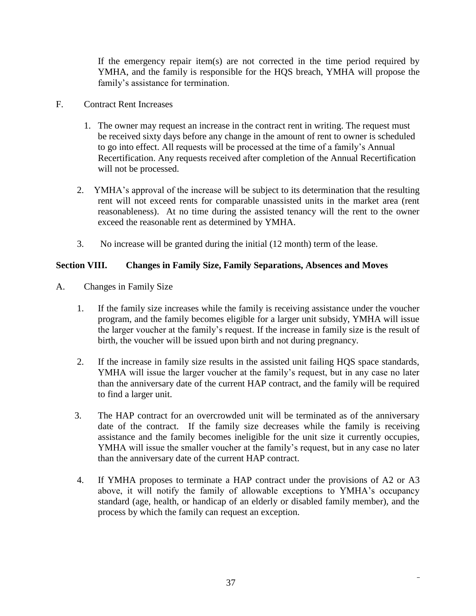If the emergency repair item(s) are not corrected in the time period required by YMHA, and the family is responsible for the HQS breach, YMHA will propose the family's assistance for termination.

### F. Contract Rent Increases

- 1. The owner may request an increase in the contract rent in writing. The request must be received sixty days before any change in the amount of rent to owner is scheduled to go into effect. All requests will be processed at the time of a family's Annual Recertification. Any requests received after completion of the Annual Recertification will not be processed.
- 2. YMHA's approval of the increase will be subject to its determination that the resulting rent will not exceed rents for comparable unassisted units in the market area (rent reasonableness). At no time during the assisted tenancy will the rent to the owner exceed the reasonable rent as determined by YMHA.
- 3. No increase will be granted during the initial (12 month) term of the lease.

## **Section VIII. Changes in Family Size, Family Separations, Absences and Moves**

- A. Changes in Family Size
	- 1. If the family size increases while the family is receiving assistance under the voucher program, and the family becomes eligible for a larger unit subsidy, YMHA will issue the larger voucher at the family's request. If the increase in family size is the result of birth, the voucher will be issued upon birth and not during pregnancy.
	- 2. If the increase in family size results in the assisted unit failing HQS space standards, YMHA will issue the larger voucher at the family's request, but in any case no later than the anniversary date of the current HAP contract, and the family will be required to find a larger unit.
	- 3. The HAP contract for an overcrowded unit will be terminated as of the anniversary date of the contract. If the family size decreases while the family is receiving assistance and the family becomes ineligible for the unit size it currently occupies, YMHA will issue the smaller voucher at the family's request, but in any case no later than the anniversary date of the current HAP contract.
	- 4. If YMHA proposes to terminate a HAP contract under the provisions of A2 or A3 above, it will notify the family of allowable exceptions to YMHA's occupancy standard (age, health, or handicap of an elderly or disabled family member), and the process by which the family can request an exception.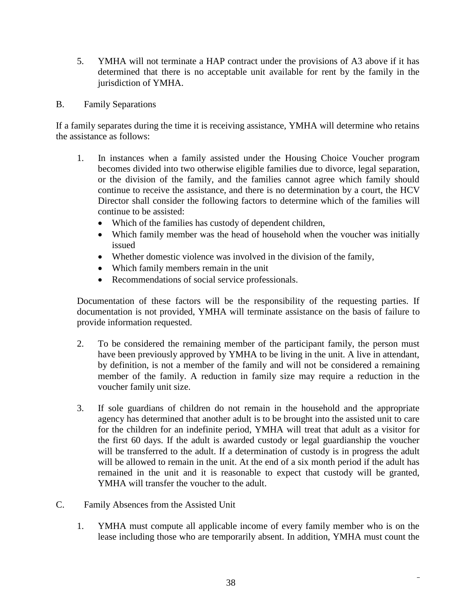- 5. YMHA will not terminate a HAP contract under the provisions of A3 above if it has determined that there is no acceptable unit available for rent by the family in the jurisdiction of YMHA.
- B. Family Separations

If a family separates during the time it is receiving assistance, YMHA will determine who retains the assistance as follows:

- 1. In instances when a family assisted under the Housing Choice Voucher program becomes divided into two otherwise eligible families due to divorce, legal separation, or the division of the family, and the families cannot agree which family should continue to receive the assistance, and there is no determination by a court, the HCV Director shall consider the following factors to determine which of the families will continue to be assisted:
	- Which of the families has custody of dependent children,
	- Which family member was the head of household when the voucher was initially issued
	- Whether domestic violence was involved in the division of the family,
	- Which family members remain in the unit
	- Recommendations of social service professionals.

Documentation of these factors will be the responsibility of the requesting parties. If documentation is not provided, YMHA will terminate assistance on the basis of failure to provide information requested.

- 2. To be considered the remaining member of the participant family, the person must have been previously approved by YMHA to be living in the unit. A live in attendant, by definition, is not a member of the family and will not be considered a remaining member of the family. A reduction in family size may require a reduction in the voucher family unit size.
- 3. If sole guardians of children do not remain in the household and the appropriate agency has determined that another adult is to be brought into the assisted unit to care for the children for an indefinite period, YMHA will treat that adult as a visitor for the first 60 days. If the adult is awarded custody or legal guardianship the voucher will be transferred to the adult. If a determination of custody is in progress the adult will be allowed to remain in the unit. At the end of a six month period if the adult has remained in the unit and it is reasonable to expect that custody will be granted, YMHA will transfer the voucher to the adult.
- C. Family Absences from the Assisted Unit
	- 1. YMHA must compute all applicable income of every family member who is on the lease including those who are temporarily absent. In addition, YMHA must count the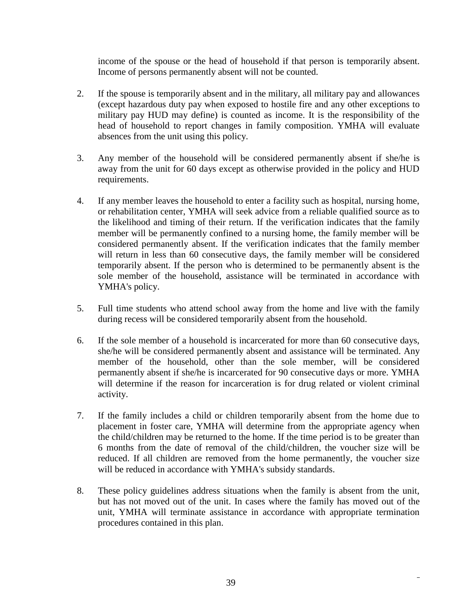income of the spouse or the head of household if that person is temporarily absent. Income of persons permanently absent will not be counted.

- 2. If the spouse is temporarily absent and in the military, all military pay and allowances (except hazardous duty pay when exposed to hostile fire and any other exceptions to military pay HUD may define) is counted as income. It is the responsibility of the head of household to report changes in family composition. YMHA will evaluate absences from the unit using this policy.
- 3. Any member of the household will be considered permanently absent if she/he is away from the unit for 60 days except as otherwise provided in the policy and HUD requirements.
- 4. If any member leaves the household to enter a facility such as hospital, nursing home, or rehabilitation center, YMHA will seek advice from a reliable qualified source as to the likelihood and timing of their return. If the verification indicates that the family member will be permanently confined to a nursing home, the family member will be considered permanently absent. If the verification indicates that the family member will return in less than 60 consecutive days, the family member will be considered temporarily absent. If the person who is determined to be permanently absent is the sole member of the household, assistance will be terminated in accordance with YMHA's policy.
- 5. Full time students who attend school away from the home and live with the family during recess will be considered temporarily absent from the household.
- 6. If the sole member of a household is incarcerated for more than 60 consecutive days, she/he will be considered permanently absent and assistance will be terminated. Any member of the household, other than the sole member, will be considered permanently absent if she/he is incarcerated for 90 consecutive days or more. YMHA will determine if the reason for incarceration is for drug related or violent criminal activity.
- 7. If the family includes a child or children temporarily absent from the home due to placement in foster care, YMHA will determine from the appropriate agency when the child/children may be returned to the home. If the time period is to be greater than 6 months from the date of removal of the child/children, the voucher size will be reduced. If all children are removed from the home permanently, the voucher size will be reduced in accordance with YMHA's subsidy standards.
- 8. These policy guidelines address situations when the family is absent from the unit, but has not moved out of the unit. In cases where the family has moved out of the unit, YMHA will terminate assistance in accordance with appropriate termination procedures contained in this plan.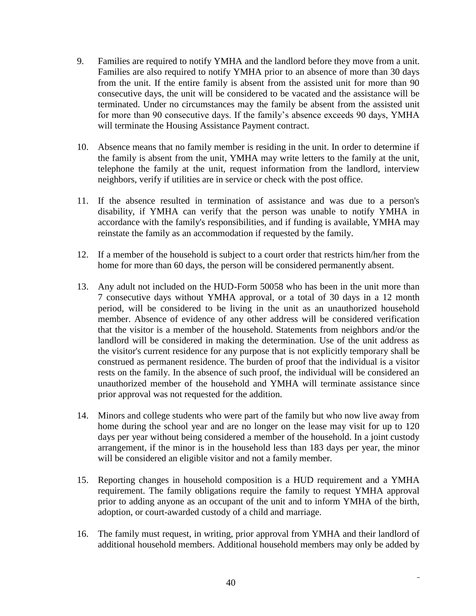- 9. Families are required to notify YMHA and the landlord before they move from a unit. Families are also required to notify YMHA prior to an absence of more than 30 days from the unit. If the entire family is absent from the assisted unit for more than 90 consecutive days, the unit will be considered to be vacated and the assistance will be terminated. Under no circumstances may the family be absent from the assisted unit for more than 90 consecutive days. If the family's absence exceeds 90 days, YMHA will terminate the Housing Assistance Payment contract.
- 10. Absence means that no family member is residing in the unit. In order to determine if the family is absent from the unit, YMHA may write letters to the family at the unit, telephone the family at the unit, request information from the landlord, interview neighbors, verify if utilities are in service or check with the post office.
- 11. If the absence resulted in termination of assistance and was due to a person's disability, if YMHA can verify that the person was unable to notify YMHA in accordance with the family's responsibilities, and if funding is available, YMHA may reinstate the family as an accommodation if requested by the family.
- 12. If a member of the household is subject to a court order that restricts him/her from the home for more than 60 days, the person will be considered permanently absent.
- 13. Any adult not included on the HUD-Form 50058 who has been in the unit more than 7 consecutive days without YMHA approval, or a total of 30 days in a 12 month period, will be considered to be living in the unit as an unauthorized household member. Absence of evidence of any other address will be considered verification that the visitor is a member of the household. Statements from neighbors and/or the landlord will be considered in making the determination. Use of the unit address as the visitor's current residence for any purpose that is not explicitly temporary shall be construed as permanent residence. The burden of proof that the individual is a visitor rests on the family. In the absence of such proof, the individual will be considered an unauthorized member of the household and YMHA will terminate assistance since prior approval was not requested for the addition.
- 14. Minors and college students who were part of the family but who now live away from home during the school year and are no longer on the lease may visit for up to 120 days per year without being considered a member of the household. In a joint custody arrangement, if the minor is in the household less than 183 days per year, the minor will be considered an eligible visitor and not a family member.
- 15. Reporting changes in household composition is a HUD requirement and a YMHA requirement. The family obligations require the family to request YMHA approval prior to adding anyone as an occupant of the unit and to inform YMHA of the birth, adoption, or court-awarded custody of a child and marriage.
- 16. The family must request, in writing, prior approval from YMHA and their landlord of additional household members. Additional household members may only be added by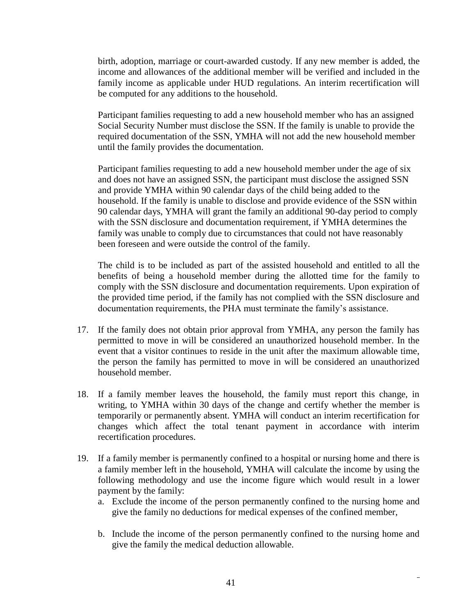birth, adoption, marriage or court-awarded custody. If any new member is added, the income and allowances of the additional member will be verified and included in the family income as applicable under HUD regulations. An interim recertification will be computed for any additions to the household.

Participant families requesting to add a new household member who has an assigned Social Security Number must disclose the SSN. If the family is unable to provide the required documentation of the SSN, YMHA will not add the new household member until the family provides the documentation.

Participant families requesting to add a new household member under the age of six and does not have an assigned SSN, the participant must disclose the assigned SSN and provide YMHA within 90 calendar days of the child being added to the household. If the family is unable to disclose and provide evidence of the SSN within 90 calendar days, YMHA will grant the family an additional 90-day period to comply with the SSN disclosure and documentation requirement, if YMHA determines the family was unable to comply due to circumstances that could not have reasonably been foreseen and were outside the control of the family.

The child is to be included as part of the assisted household and entitled to all the benefits of being a household member during the allotted time for the family to comply with the SSN disclosure and documentation requirements. Upon expiration of the provided time period, if the family has not complied with the SSN disclosure and documentation requirements, the PHA must terminate the family's assistance.

- 17. If the family does not obtain prior approval from YMHA, any person the family has permitted to move in will be considered an unauthorized household member. In the event that a visitor continues to reside in the unit after the maximum allowable time, the person the family has permitted to move in will be considered an unauthorized household member.
- 18. If a family member leaves the household, the family must report this change, in writing, to YMHA within 30 days of the change and certify whether the member is temporarily or permanently absent. YMHA will conduct an interim recertification for changes which affect the total tenant payment in accordance with interim recertification procedures.
- 19. If a family member is permanently confined to a hospital or nursing home and there is a family member left in the household, YMHA will calculate the income by using the following methodology and use the income figure which would result in a lower payment by the family:
	- a. Exclude the income of the person permanently confined to the nursing home and give the family no deductions for medical expenses of the confined member,
	- b. Include the income of the person permanently confined to the nursing home and give the family the medical deduction allowable.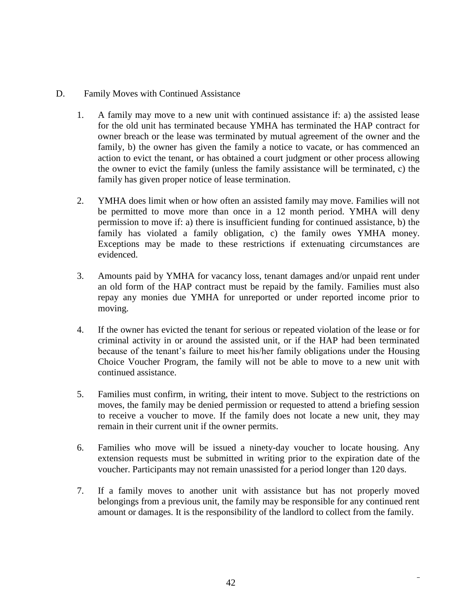#### D. Family Moves with Continued Assistance

- 1. A family may move to a new unit with continued assistance if: a) the assisted lease for the old unit has terminated because YMHA has terminated the HAP contract for owner breach or the lease was terminated by mutual agreement of the owner and the family, b) the owner has given the family a notice to vacate, or has commenced an action to evict the tenant, or has obtained a court judgment or other process allowing the owner to evict the family (unless the family assistance will be terminated, c) the family has given proper notice of lease termination.
- 2. YMHA does limit when or how often an assisted family may move. Families will not be permitted to move more than once in a 12 month period. YMHA will deny permission to move if: a) there is insufficient funding for continued assistance, b) the family has violated a family obligation, c) the family owes YMHA money. Exceptions may be made to these restrictions if extenuating circumstances are evidenced.
- 3. Amounts paid by YMHA for vacancy loss, tenant damages and/or unpaid rent under an old form of the HAP contract must be repaid by the family. Families must also repay any monies due YMHA for unreported or under reported income prior to moving.
- 4. If the owner has evicted the tenant for serious or repeated violation of the lease or for criminal activity in or around the assisted unit, or if the HAP had been terminated because of the tenant's failure to meet his/her family obligations under the Housing Choice Voucher Program, the family will not be able to move to a new unit with continued assistance.
- 5. Families must confirm, in writing, their intent to move. Subject to the restrictions on moves, the family may be denied permission or requested to attend a briefing session to receive a voucher to move. If the family does not locate a new unit, they may remain in their current unit if the owner permits.
- 6. Families who move will be issued a ninety-day voucher to locate housing. Any extension requests must be submitted in writing prior to the expiration date of the voucher. Participants may not remain unassisted for a period longer than 120 days.
- 7. If a family moves to another unit with assistance but has not properly moved belongings from a previous unit, the family may be responsible for any continued rent amount or damages. It is the responsibility of the landlord to collect from the family.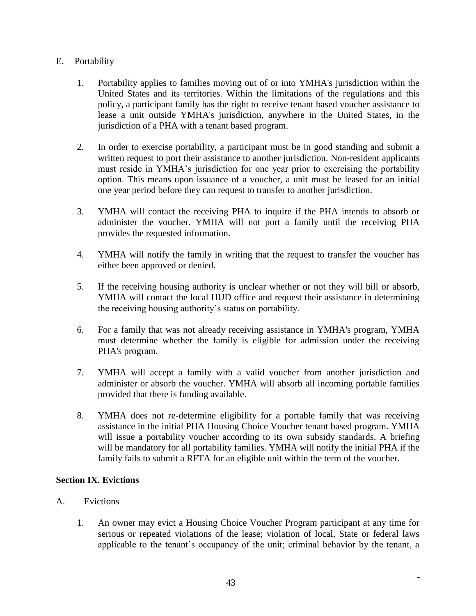## E. Portability

- 1. Portability applies to families moving out of or into YMHA's jurisdiction within the United States and its territories. Within the limitations of the regulations and this policy, a participant family has the right to receive tenant based voucher assistance to lease a unit outside YMHA's jurisdiction, anywhere in the United States, in the jurisdiction of a PHA with a tenant based program.
- 2. In order to exercise portability, a participant must be in good standing and submit a written request to port their assistance to another jurisdiction. Non-resident applicants must reside in YMHA's jurisdiction for one year prior to exercising the portability option. This means upon issuance of a voucher, a unit must be leased for an initial one year period before they can request to transfer to another jurisdiction.
- 3. YMHA will contact the receiving PHA to inquire if the PHA intends to absorb or administer the voucher. YMHA will not port a family until the receiving PHA provides the requested information.
- 4. YMHA will notify the family in writing that the request to transfer the voucher has either been approved or denied.
- 5. If the receiving housing authority is unclear whether or not they will bill or absorb, YMHA will contact the local HUD office and request their assistance in determining the receiving housing authority's status on portability.
- 6. For a family that was not already receiving assistance in YMHA's program, YMHA must determine whether the family is eligible for admission under the receiving PHA's program.
- 7. YMHA will accept a family with a valid voucher from another jurisdiction and administer or absorb the voucher. YMHA will absorb all incoming portable families provided that there is funding available.
- 8. YMHA does not re-determine eligibility for a portable family that was receiving assistance in the initial PHA Housing Choice Voucher tenant based program. YMHA will issue a portability voucher according to its own subsidy standards. A briefing will be mandatory for all portability families. YMHA will notify the initial PHA if the family fails to submit a RFTA for an eligible unit within the term of the voucher.

## **Section IX. Evictions**

- A. Evictions
	- 1. An owner may evict a Housing Choice Voucher Program participant at any time for serious or repeated violations of the lease; violation of local, State or federal laws applicable to the tenant's occupancy of the unit; criminal behavior by the tenant, a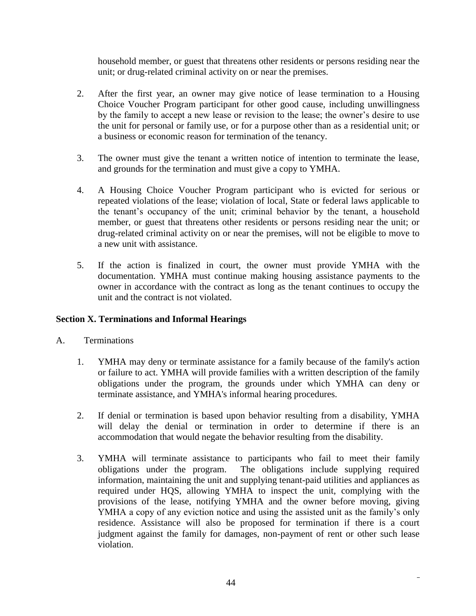household member, or guest that threatens other residents or persons residing near the unit; or drug-related criminal activity on or near the premises.

- 2. After the first year, an owner may give notice of lease termination to a Housing Choice Voucher Program participant for other good cause, including unwillingness by the family to accept a new lease or revision to the lease; the owner's desire to use the unit for personal or family use, or for a purpose other than as a residential unit; or a business or economic reason for termination of the tenancy.
- 3. The owner must give the tenant a written notice of intention to terminate the lease, and grounds for the termination and must give a copy to YMHA.
- 4. A Housing Choice Voucher Program participant who is evicted for serious or repeated violations of the lease; violation of local, State or federal laws applicable to the tenant's occupancy of the unit; criminal behavior by the tenant, a household member, or guest that threatens other residents or persons residing near the unit; or drug-related criminal activity on or near the premises, will not be eligible to move to a new unit with assistance.
- 5. If the action is finalized in court, the owner must provide YMHA with the documentation. YMHA must continue making housing assistance payments to the owner in accordance with the contract as long as the tenant continues to occupy the unit and the contract is not violated.

## **Section X. Terminations and Informal Hearings**

- A. Terminations
	- 1. YMHA may deny or terminate assistance for a family because of the family's action or failure to act. YMHA will provide families with a written description of the family obligations under the program, the grounds under which YMHA can deny or terminate assistance, and YMHA's informal hearing procedures.
	- 2. If denial or termination is based upon behavior resulting from a disability, YMHA will delay the denial or termination in order to determine if there is an accommodation that would negate the behavior resulting from the disability.
	- 3. YMHA will terminate assistance to participants who fail to meet their family obligations under the program. The obligations include supplying required information, maintaining the unit and supplying tenant-paid utilities and appliances as required under HQS, allowing YMHA to inspect the unit, complying with the provisions of the lease, notifying YMHA and the owner before moving, giving YMHA a copy of any eviction notice and using the assisted unit as the family's only residence. Assistance will also be proposed for termination if there is a court judgment against the family for damages, non-payment of rent or other such lease violation.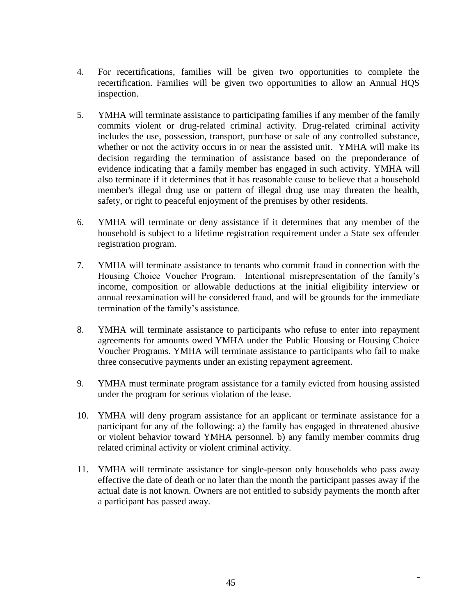- 4. For recertifications, families will be given two opportunities to complete the recertification. Families will be given two opportunities to allow an Annual HQS inspection.
- 5. YMHA will terminate assistance to participating families if any member of the family commits violent or drug-related criminal activity. Drug-related criminal activity includes the use, possession, transport, purchase or sale of any controlled substance, whether or not the activity occurs in or near the assisted unit. YMHA will make its decision regarding the termination of assistance based on the preponderance of evidence indicating that a family member has engaged in such activity. YMHA will also terminate if it determines that it has reasonable cause to believe that a household member's illegal drug use or pattern of illegal drug use may threaten the health, safety, or right to peaceful enjoyment of the premises by other residents.
- 6. YMHA will terminate or deny assistance if it determines that any member of the household is subject to a lifetime registration requirement under a State sex offender registration program.
- 7. YMHA will terminate assistance to tenants who commit fraud in connection with the Housing Choice Voucher Program. Intentional misrepresentation of the family's income, composition or allowable deductions at the initial eligibility interview or annual reexamination will be considered fraud, and will be grounds for the immediate termination of the family's assistance.
- 8. YMHA will terminate assistance to participants who refuse to enter into repayment agreements for amounts owed YMHA under the Public Housing or Housing Choice Voucher Programs. YMHA will terminate assistance to participants who fail to make three consecutive payments under an existing repayment agreement.
- 9. YMHA must terminate program assistance for a family evicted from housing assisted under the program for serious violation of the lease.
- 10. YMHA will deny program assistance for an applicant or terminate assistance for a participant for any of the following: a) the family has engaged in threatened abusive or violent behavior toward YMHA personnel. b) any family member commits drug related criminal activity or violent criminal activity.
- 11. YMHA will terminate assistance for single-person only households who pass away effective the date of death or no later than the month the participant passes away if the actual date is not known. Owners are not entitled to subsidy payments the month after a participant has passed away.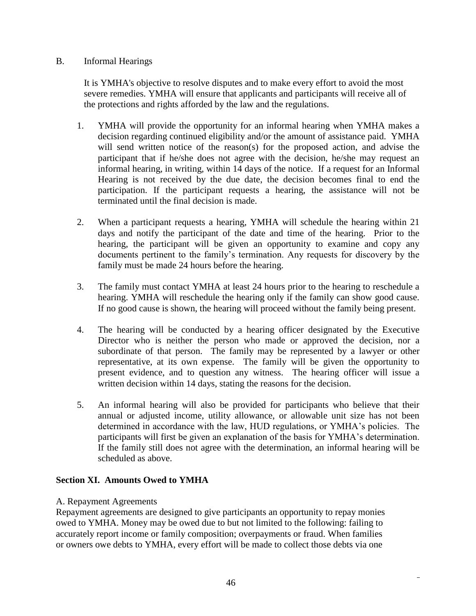### B. Informal Hearings

It is YMHA's objective to resolve disputes and to make every effort to avoid the most severe remedies. YMHA will ensure that applicants and participants will receive all of the protections and rights afforded by the law and the regulations.

- 1. YMHA will provide the opportunity for an informal hearing when YMHA makes a decision regarding continued eligibility and/or the amount of assistance paid. YMHA will send written notice of the reason(s) for the proposed action, and advise the participant that if he/she does not agree with the decision, he/she may request an informal hearing, in writing, within 14 days of the notice. If a request for an Informal Hearing is not received by the due date, the decision becomes final to end the participation. If the participant requests a hearing, the assistance will not be terminated until the final decision is made.
- 2. When a participant requests a hearing, YMHA will schedule the hearing within 21 days and notify the participant of the date and time of the hearing. Prior to the hearing, the participant will be given an opportunity to examine and copy any documents pertinent to the family's termination. Any requests for discovery by the family must be made 24 hours before the hearing.
- 3. The family must contact YMHA at least 24 hours prior to the hearing to reschedule a hearing. YMHA will reschedule the hearing only if the family can show good cause. If no good cause is shown, the hearing will proceed without the family being present.
- 4. The hearing will be conducted by a hearing officer designated by the Executive Director who is neither the person who made or approved the decision, nor a subordinate of that person. The family may be represented by a lawyer or other representative, at its own expense. The family will be given the opportunity to present evidence, and to question any witness. The hearing officer will issue a written decision within 14 days, stating the reasons for the decision.
- 5. An informal hearing will also be provided for participants who believe that their annual or adjusted income, utility allowance, or allowable unit size has not been determined in accordance with the law, HUD regulations, or YMHA's policies. The participants will first be given an explanation of the basis for YMHA's determination. If the family still does not agree with the determination, an informal hearing will be scheduled as above.

# **Section XI. Amounts Owed to YMHA**

## A. Repayment Agreements

Repayment agreements are designed to give participants an opportunity to repay monies owed to YMHA. Money may be owed due to but not limited to the following: failing to accurately report income or family composition; overpayments or fraud. When families or owners owe debts to YMHA, every effort will be made to collect those debts via one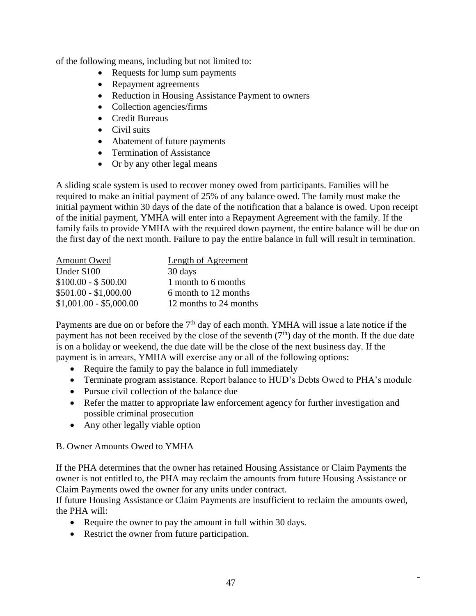of the following means, including but not limited to:

- Requests for lump sum payments
- Repayment agreements
- Reduction in Housing Assistance Payment to owners
- Collection agencies/firms
- Credit Bureaus
- Civil suits
- Abatement of future payments
- Termination of Assistance
- Or by any other legal means

A sliding scale system is used to recover money owed from participants. Families will be required to make an initial payment of 25% of any balance owed. The family must make the initial payment within 30 days of the date of the notification that a balance is owed. Upon receipt of the initial payment, YMHA will enter into a Repayment Agreement with the family. If the family fails to provide YMHA with the required down payment, the entire balance will be due on the first day of the next month. Failure to pay the entire balance in full will result in termination.

| Amount Owed             | <b>Length of Agreement</b> |
|-------------------------|----------------------------|
| Under \$100             | 30 days                    |
| $$100.00 - $500.00$     | 1 month to 6 months        |
| $$501.00 - $1,000.00$   | 6 month to 12 months       |
| $$1,001.00 - $5,000.00$ | 12 months to 24 months     |

Payments are due on or before the  $7<sup>th</sup>$  day of each month. YMHA will issue a late notice if the payment has not been received by the close of the seventh  $(7<sup>th</sup>)$  day of the month. If the due date is on a holiday or weekend, the due date will be the close of the next business day. If the payment is in arrears, YMHA will exercise any or all of the following options:

- Require the family to pay the balance in full immediately
- Terminate program assistance. Report balance to HUD's Debts Owed to PHA's module
- Pursue civil collection of the balance due
- Refer the matter to appropriate law enforcement agency for further investigation and possible criminal prosecution
- Any other legally viable option

#### B. Owner Amounts Owed to YMHA

If the PHA determines that the owner has retained Housing Assistance or Claim Payments the owner is not entitled to, the PHA may reclaim the amounts from future Housing Assistance or Claim Payments owed the owner for any units under contract.

If future Housing Assistance or Claim Payments are insufficient to reclaim the amounts owed, the PHA will:

- Require the owner to pay the amount in full within 30 days.
- Restrict the owner from future participation.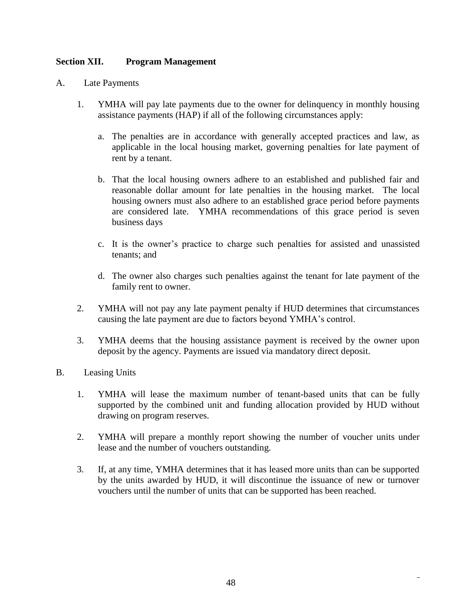### **Section XII. Program Management**

- A. Late Payments
	- 1. YMHA will pay late payments due to the owner for delinquency in monthly housing assistance payments (HAP) if all of the following circumstances apply:
		- a. The penalties are in accordance with generally accepted practices and law, as applicable in the local housing market, governing penalties for late payment of rent by a tenant.
		- b. That the local housing owners adhere to an established and published fair and reasonable dollar amount for late penalties in the housing market. The local housing owners must also adhere to an established grace period before payments are considered late. YMHA recommendations of this grace period is seven business days
		- c. It is the owner's practice to charge such penalties for assisted and unassisted tenants; and
		- d. The owner also charges such penalties against the tenant for late payment of the family rent to owner.
	- 2. YMHA will not pay any late payment penalty if HUD determines that circumstances causing the late payment are due to factors beyond YMHA's control.
	- 3. YMHA deems that the housing assistance payment is received by the owner upon deposit by the agency. Payments are issued via mandatory direct deposit.
- B. Leasing Units
	- 1. YMHA will lease the maximum number of tenant-based units that can be fully supported by the combined unit and funding allocation provided by HUD without drawing on program reserves.
	- 2. YMHA will prepare a monthly report showing the number of voucher units under lease and the number of vouchers outstanding.
	- 3. If, at any time, YMHA determines that it has leased more units than can be supported by the units awarded by HUD, it will discontinue the issuance of new or turnover vouchers until the number of units that can be supported has been reached.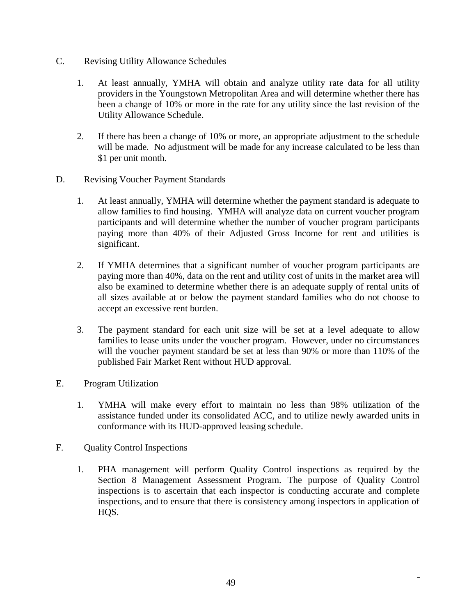- C. Revising Utility Allowance Schedules
	- 1. At least annually, YMHA will obtain and analyze utility rate data for all utility providers in the Youngstown Metropolitan Area and will determine whether there has been a change of 10% or more in the rate for any utility since the last revision of the Utility Allowance Schedule.
	- 2. If there has been a change of 10% or more, an appropriate adjustment to the schedule will be made. No adjustment will be made for any increase calculated to be less than \$1 per unit month.
- D. Revising Voucher Payment Standards
	- 1. At least annually, YMHA will determine whether the payment standard is adequate to allow families to find housing. YMHA will analyze data on current voucher program participants and will determine whether the number of voucher program participants paying more than 40% of their Adjusted Gross Income for rent and utilities is significant.
	- 2. If YMHA determines that a significant number of voucher program participants are paying more than 40%, data on the rent and utility cost of units in the market area will also be examined to determine whether there is an adequate supply of rental units of all sizes available at or below the payment standard families who do not choose to accept an excessive rent burden.
	- 3. The payment standard for each unit size will be set at a level adequate to allow families to lease units under the voucher program. However, under no circumstances will the voucher payment standard be set at less than 90% or more than 110% of the published Fair Market Rent without HUD approval.
- E. Program Utilization
	- 1. YMHA will make every effort to maintain no less than 98% utilization of the assistance funded under its consolidated ACC, and to utilize newly awarded units in conformance with its HUD-approved leasing schedule.
- F. Quality Control Inspections
	- 1. PHA management will perform Quality Control inspections as required by the Section 8 Management Assessment Program. The purpose of Quality Control inspections is to ascertain that each inspector is conducting accurate and complete inspections, and to ensure that there is consistency among inspectors in application of HQS.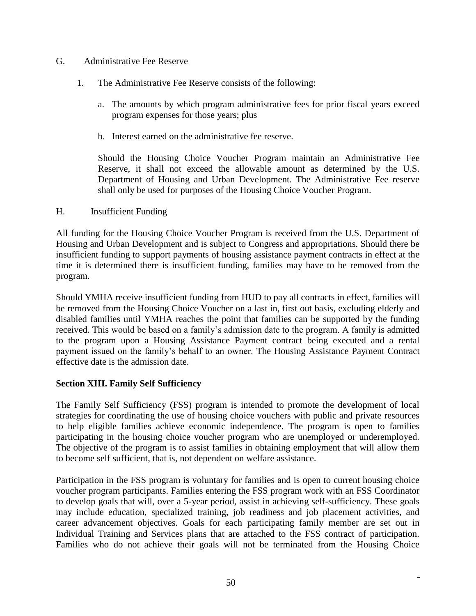#### G. Administrative Fee Reserve

- 1. The Administrative Fee Reserve consists of the following:
	- a. The amounts by which program administrative fees for prior fiscal years exceed program expenses for those years; plus
	- b. Interest earned on the administrative fee reserve.

Should the Housing Choice Voucher Program maintain an Administrative Fee Reserve, it shall not exceed the allowable amount as determined by the U.S. Department of Housing and Urban Development. The Administrative Fee reserve shall only be used for purposes of the Housing Choice Voucher Program.

### H. Insufficient Funding

All funding for the Housing Choice Voucher Program is received from the U.S. Department of Housing and Urban Development and is subject to Congress and appropriations. Should there be insufficient funding to support payments of housing assistance payment contracts in effect at the time it is determined there is insufficient funding, families may have to be removed from the program.

Should YMHA receive insufficient funding from HUD to pay all contracts in effect, families will be removed from the Housing Choice Voucher on a last in, first out basis, excluding elderly and disabled families until YMHA reaches the point that families can be supported by the funding received. This would be based on a family's admission date to the program. A family is admitted to the program upon a Housing Assistance Payment contract being executed and a rental payment issued on the family's behalf to an owner. The Housing Assistance Payment Contract effective date is the admission date.

## **Section XIII. Family Self Sufficiency**

The Family Self Sufficiency (FSS) program is intended to promote the development of local strategies for coordinating the use of housing choice vouchers with public and private resources to help eligible families achieve economic independence. The program is open to families participating in the housing choice voucher program who are unemployed or underemployed. The objective of the program is to assist families in obtaining employment that will allow them to become self sufficient, that is, not dependent on welfare assistance.

Participation in the FSS program is voluntary for families and is open to current housing choice voucher program participants. Families entering the FSS program work with an FSS Coordinator to develop goals that will, over a 5-year period, assist in achieving self-sufficiency. These goals may include education, specialized training, job readiness and job placement activities, and career advancement objectives. Goals for each participating family member are set out in Individual Training and Services plans that are attached to the FSS contract of participation. Families who do not achieve their goals will not be terminated from the Housing Choice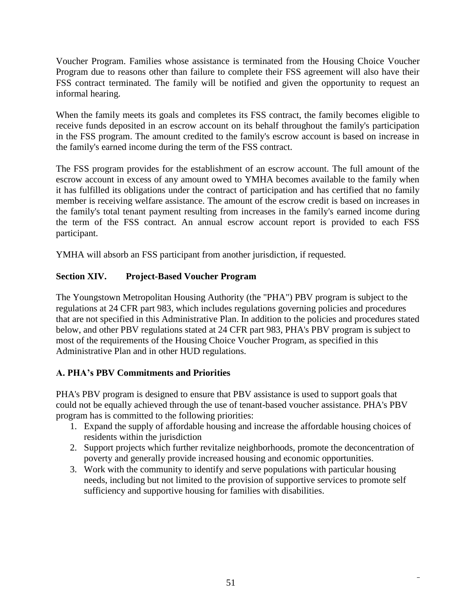Voucher Program. Families whose assistance is terminated from the Housing Choice Voucher Program due to reasons other than failure to complete their FSS agreement will also have their FSS contract terminated. The family will be notified and given the opportunity to request an informal hearing.

When the family meets its goals and completes its FSS contract, the family becomes eligible to receive funds deposited in an escrow account on its behalf throughout the family's participation in the FSS program. The amount credited to the family's escrow account is based on increase in the family's earned income during the term of the FSS contract.

The FSS program provides for the establishment of an escrow account. The full amount of the escrow account in excess of any amount owed to YMHA becomes available to the family when it has fulfilled its obligations under the contract of participation and has certified that no family member is receiving welfare assistance. The amount of the escrow credit is based on increases in the family's total tenant payment resulting from increases in the family's earned income during the term of the FSS contract. An annual escrow account report is provided to each FSS participant.

YMHA will absorb an FSS participant from another jurisdiction, if requested.

# **Section XIV. Project-Based Voucher Program**

The Youngstown Metropolitan Housing Authority (the "PHA") PBV program is subject to the regulations at 24 CFR part 983, which includes regulations governing policies and procedures that are not specified in this Administrative Plan. In addition to the policies and procedures stated below, and other PBV regulations stated at 24 CFR part 983, PHA's PBV program is subject to most of the requirements of the Housing Choice Voucher Program, as specified in this Administrative Plan and in other HUD regulations.

# **A. PHA's PBV Commitments and Priorities**

PHA's PBV program is designed to ensure that PBV assistance is used to support goals that could not be equally achieved through the use of tenant-based voucher assistance. PHA's PBV program has is committed to the following priorities:

- 1. Expand the supply of affordable housing and increase the affordable housing choices of residents within the jurisdiction
- 2. Support projects which further revitalize neighborhoods, promote the deconcentration of poverty and generally provide increased housing and economic opportunities.
- 3. Work with the community to identify and serve populations with particular housing needs, including but not limited to the provision of supportive services to promote self sufficiency and supportive housing for families with disabilities.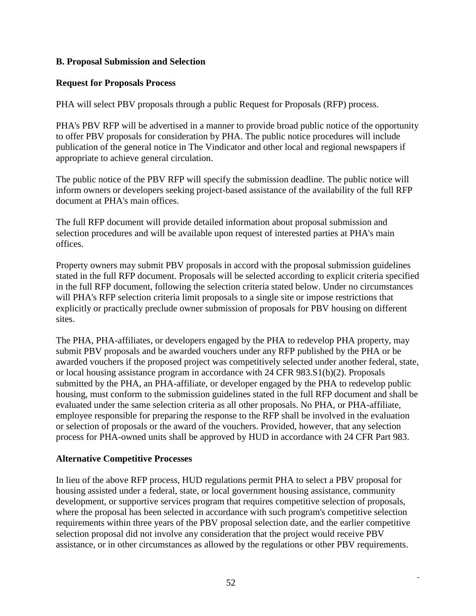### **B. Proposal Submission and Selection**

### **Request for Proposals Process**

PHA will select PBV proposals through a public Request for Proposals (RFP) process.

PHA's PBV RFP will be advertised in a manner to provide broad public notice of the opportunity to offer PBV proposals for consideration by PHA. The public notice procedures will include publication of the general notice in The Vindicator and other local and regional newspapers if appropriate to achieve general circulation.

The public notice of the PBV RFP will specify the submission deadline. The public notice will inform owners or developers seeking project-based assistance of the availability of the full RFP document at PHA's main offices.

The full RFP document will provide detailed information about proposal submission and selection procedures and will be available upon request of interested parties at PHA's main offices.

Property owners may submit PBV proposals in accord with the proposal submission guidelines stated in the full RFP document. Proposals will be selected according to explicit criteria specified in the full RFP document, following the selection criteria stated below. Under no circumstances will PHA's RFP selection criteria limit proposals to a single site or impose restrictions that explicitly or practically preclude owner submission of proposals for PBV housing on different sites.

The PHA, PHA-affiliates, or developers engaged by the PHA to redevelop PHA property, may submit PBV proposals and be awarded vouchers under any RFP published by the PHA or be awarded vouchers if the proposed project was competitively selected under another federal, state, or local housing assistance program in accordance with 24 CFR 983.S1(b)(2). Proposals submitted by the PHA, an PHA-affiliate, or developer engaged by the PHA to redevelop public housing, must conform to the submission guidelines stated in the full RFP document and shall be evaluated under the same selection criteria as all other proposals. No PHA, or PHA-affiliate, employee responsible for preparing the response to the RFP shall be involved in the evaluation or selection of proposals or the award of the vouchers. Provided, however, that any selection process for PHA-owned units shall be approved by HUD in accordance with 24 CFR Part 983.

#### **Alternative Competitive Processes**

In lieu of the above RFP process, HUD regulations permit PHA to select a PBV proposal for housing assisted under a federal, state, or local government housing assistance, community development, or supportive services program that requires competitive selection of proposals, where the proposal has been selected in accordance with such program's competitive selection requirements within three years of the PBV proposal selection date, and the earlier competitive selection proposal did not involve any consideration that the project would receive PBV assistance, or in other circumstances as allowed by the regulations or other PBV requirements.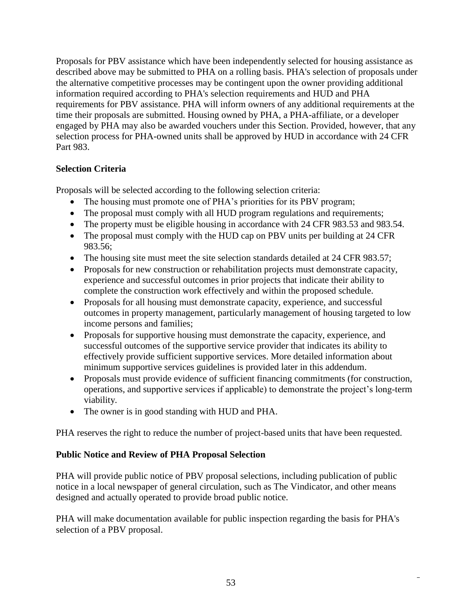Proposals for PBV assistance which have been independently selected for housing assistance as described above may be submitted to PHA on a rolling basis. PHA's selection of proposals under the alternative competitive processes may be contingent upon the owner providing additional information required according to PHA's selection requirements and HUD and PHA requirements for PBV assistance. PHA will inform owners of any additional requirements at the time their proposals are submitted. Housing owned by PHA, a PHA-affiliate, or a developer engaged by PHA may also be awarded vouchers under this Section. Provided, however, that any selection process for PHA-owned units shall be approved by HUD in accordance with 24 CFR Part 983.

## **Selection Criteria**

Proposals will be selected according to the following selection criteria:

- The housing must promote one of PHA's priorities for its PBV program;
- The proposal must comply with all HUD program regulations and requirements;
- The property must be eligible housing in accordance with 24 CFR 983.53 and 983.54.
- The proposal must comply with the HUD cap on PBV units per building at 24 CFR 983.56;
- The housing site must meet the site selection standards detailed at 24 CFR 983.57;
- Proposals for new construction or rehabilitation projects must demonstrate capacity, experience and successful outcomes in prior projects that indicate their ability to complete the construction work effectively and within the proposed schedule.
- Proposals for all housing must demonstrate capacity, experience, and successful outcomes in property management, particularly management of housing targeted to low income persons and families;
- Proposals for supportive housing must demonstrate the capacity, experience, and successful outcomes of the supportive service provider that indicates its ability to effectively provide sufficient supportive services. More detailed information about minimum supportive services guidelines is provided later in this addendum.
- Proposals must provide evidence of sufficient financing commitments (for construction, operations, and supportive services if applicable) to demonstrate the project's long-term viability.
- The owner is in good standing with HUD and PHA.

PHA reserves the right to reduce the number of project-based units that have been requested.

# **Public Notice and Review of PHA Proposal Selection**

PHA will provide public notice of PBV proposal selections, including publication of public notice in a local newspaper of general circulation, such as The Vindicator, and other means designed and actually operated to provide broad public notice.

PHA will make documentation available for public inspection regarding the basis for PHA's selection of a PBV proposal.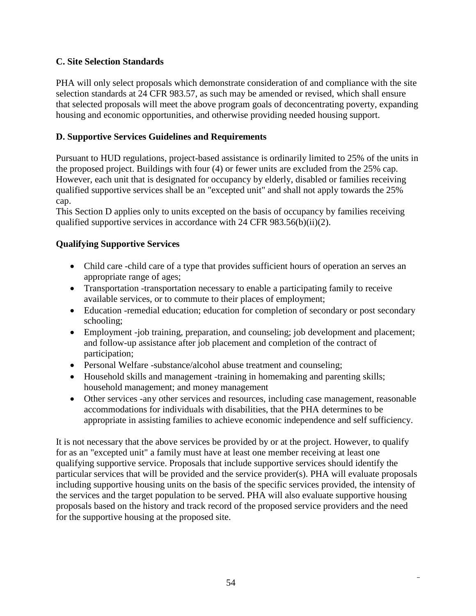## **C. Site Selection Standards**

PHA will only select proposals which demonstrate consideration of and compliance with the site selection standards at 24 CFR 983.57, as such may be amended or revised, which shall ensure that selected proposals will meet the above program goals of deconcentrating poverty, expanding housing and economic opportunities, and otherwise providing needed housing support.

## **D. Supportive Services Guidelines and Requirements**

Pursuant to HUD regulations, project-based assistance is ordinarily limited to 25% of the units in the proposed project. Buildings with four (4) or fewer units are excluded from the 25% cap. However, each unit that is designated for occupancy by elderly, disabled or families receiving qualified supportive services shall be an "excepted unit" and shall not apply towards the 25% cap.

This Section D applies only to units excepted on the basis of occupancy by families receiving qualified supportive services in accordance with 24 CFR 983.56(b)(ii)(2).

## **Qualifying Supportive Services**

- Child care -child care of a type that provides sufficient hours of operation an serves an appropriate range of ages;
- Transportation -transportation necessary to enable a participating family to receive available services, or to commute to their places of employment;
- Education -remedial education; education for completion of secondary or post secondary schooling;
- Employment -job training, preparation, and counseling; job development and placement; and follow-up assistance after job placement and completion of the contract of participation;
- Personal Welfare -substance/alcohol abuse treatment and counseling;
- Household skills and management -training in homemaking and parenting skills; household management; and money management
- Other services -any other services and resources, including case management, reasonable accommodations for individuals with disabilities, that the PHA determines to be appropriate in assisting families to achieve economic independence and self sufficiency.

It is not necessary that the above services be provided by or at the project. However, to qualify for as an "excepted unit" a family must have at least one member receiving at least one qualifying supportive service. Proposals that include supportive services should identify the particular services that will be provided and the service provider(s). PHA will evaluate proposals including supportive housing units on the basis of the specific services provided, the intensity of the services and the target population to be served. PHA will also evaluate supportive housing proposals based on the history and track record of the proposed service providers and the need for the supportive housing at the proposed site.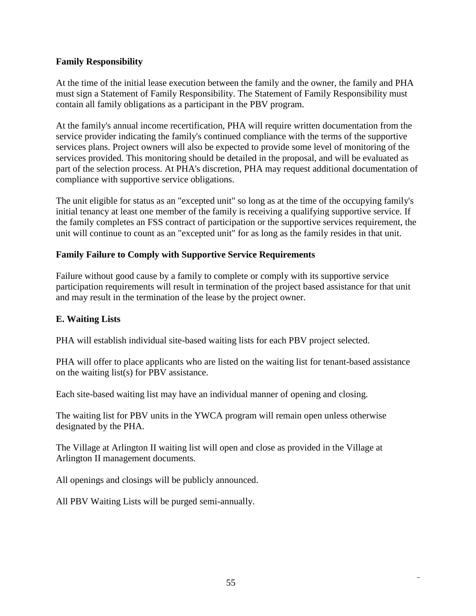### **Family Responsibility**

At the time of the initial lease execution between the family and the owner, the family and PHA must sign a Statement of Family Responsibility. The Statement of Family Responsibility must contain all family obligations as a participant in the PBV program.

At the family's annual income recertification, PHA will require written documentation from the service provider indicating the family's continued compliance with the terms of the supportive services plans. Project owners will also be expected to provide some level of monitoring of the services provided. This monitoring should be detailed in the proposal, and will be evaluated as part of the selection process. At PHA's discretion, PHA may request additional documentation of compliance with supportive service obligations.

The unit eligible for status as an "excepted unit" so long as at the time of the occupying family's initial tenancy at least one member of the family is receiving a qualifying supportive service. If the family completes an FSS contract of participation or the supportive services requirement, the unit will continue to count as an "excepted unit" for as long as the family resides in that unit.

### **Family Failure to Comply with Supportive Service Requirements**

Failure without good cause by a family to complete or comply with its supportive service participation requirements will result in termination of the project based assistance for that unit and may result in the termination of the lease by the project owner.

#### **E. Waiting Lists**

PHA will establish individual site-based waiting lists for each PBV project selected.

PHA will offer to place applicants who are listed on the waiting list for tenant-based assistance on the waiting list(s) for PBV assistance.

Each site-based waiting list may have an individual manner of opening and closing.

The waiting list for PBV units in the YWCA program will remain open unless otherwise designated by the PHA.

The Village at Arlington II waiting list will open and close as provided in the Village at Arlington II management documents.

All openings and closings will be publicly announced.

All PBV Waiting Lists will be purged semi-annually.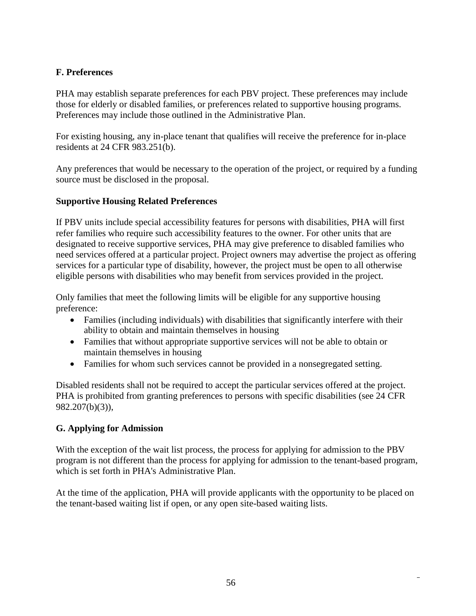## **F. Preferences**

PHA may establish separate preferences for each PBV project. These preferences may include those for elderly or disabled families, or preferences related to supportive housing programs. Preferences may include those outlined in the Administrative Plan.

For existing housing, any in-place tenant that qualifies will receive the preference for in-place residents at 24 CFR 983.251(b).

Any preferences that would be necessary to the operation of the project, or required by a funding source must be disclosed in the proposal.

## **Supportive Housing Related Preferences**

If PBV units include special accessibility features for persons with disabilities, PHA will first refer families who require such accessibility features to the owner. For other units that are designated to receive supportive services, PHA may give preference to disabled families who need services offered at a particular project. Project owners may advertise the project as offering services for a particular type of disability, however, the project must be open to all otherwise eligible persons with disabilities who may benefit from services provided in the project.

Only families that meet the following limits will be eligible for any supportive housing preference:

- Families (including individuals) with disabilities that significantly interfere with their ability to obtain and maintain themselves in housing
- Families that without appropriate supportive services will not be able to obtain or maintain themselves in housing
- Families for whom such services cannot be provided in a nonsegregated setting.

Disabled residents shall not be required to accept the particular services offered at the project. PHA is prohibited from granting preferences to persons with specific disabilities (see 24 CFR 982.207(b)(3)),

## **G. Applying for Admission**

With the exception of the wait list process, the process for applying for admission to the PBV program is not different than the process for applying for admission to the tenant-based program, which is set forth in PHA's Administrative Plan.

At the time of the application, PHA will provide applicants with the opportunity to be placed on the tenant-based waiting list if open, or any open site-based waiting lists.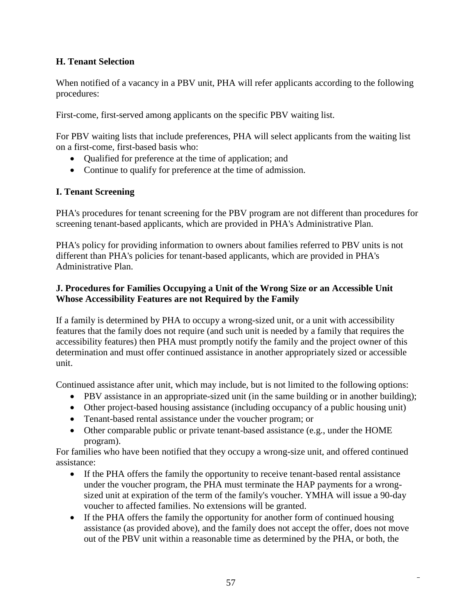## **H. Tenant Selection**

When notified of a vacancy in a PBV unit, PHA will refer applicants according to the following procedures:

First-come, first-served among applicants on the specific PBV waiting list.

For PBV waiting lists that include preferences, PHA will select applicants from the waiting list on a first-come, first-based basis who:

- Oualified for preference at the time of application; and
- Continue to qualify for preference at the time of admission.

## **I. Tenant Screening**

PHA's procedures for tenant screening for the PBV program are not different than procedures for screening tenant-based applicants, which are provided in PHA's Administrative Plan.

PHA's policy for providing information to owners about families referred to PBV units is not different than PHA's policies for tenant-based applicants, which are provided in PHA's Administrative Plan.

## **J. Procedures for Families Occupying a Unit of the Wrong Size or an Accessible Unit Whose Accessibility Features are not Required by the Family**

If a family is determined by PHA to occupy a wrong-sized unit, or a unit with accessibility features that the family does not require (and such unit is needed by a family that requires the accessibility features) then PHA must promptly notify the family and the project owner of this determination and must offer continued assistance in another appropriately sized or accessible unit.

Continued assistance after unit, which may include, but is not limited to the following options:

- PBV assistance in an appropriate-sized unit (in the same building or in another building);
- Other project-based housing assistance (including occupancy of a public housing unit)
- Tenant-based rental assistance under the voucher program; or
- Other comparable public or private tenant-based assistance (e.g., under the HOME program).

For families who have been notified that they occupy a wrong-size unit, and offered continued assistance:

- If the PHA offers the family the opportunity to receive tenant-based rental assistance under the voucher program, the PHA must terminate the HAP payments for a wrongsized unit at expiration of the term of the family's voucher. YMHA will issue a 90-day voucher to affected families. No extensions will be granted.
- If the PHA offers the family the opportunity for another form of continued housing assistance (as provided above), and the family does not accept the offer, does not move out of the PBV unit within a reasonable time as determined by the PHA, or both, the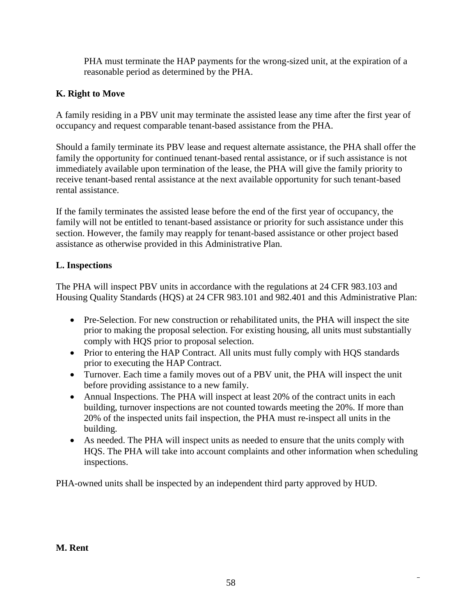PHA must terminate the HAP payments for the wrong-sized unit, at the expiration of a reasonable period as determined by the PHA.

# **K. Right to Move**

A family residing in a PBV unit may terminate the assisted lease any time after the first year of occupancy and request comparable tenant-based assistance from the PHA.

Should a family terminate its PBV lease and request alternate assistance, the PHA shall offer the family the opportunity for continued tenant-based rental assistance, or if such assistance is not immediately available upon termination of the lease, the PHA will give the family priority to receive tenant-based rental assistance at the next available opportunity for such tenant-based rental assistance.

If the family terminates the assisted lease before the end of the first year of occupancy, the family will not be entitled to tenant-based assistance or priority for such assistance under this section. However, the family may reapply for tenant-based assistance or other project based assistance as otherwise provided in this Administrative Plan.

# **L. Inspections**

The PHA will inspect PBV units in accordance with the regulations at 24 CFR 983.103 and Housing Quality Standards (HQS) at 24 CFR 983.101 and 982.401 and this Administrative Plan:

- Pre-Selection. For new construction or rehabilitated units, the PHA will inspect the site prior to making the proposal selection. For existing housing, all units must substantially comply with HQS prior to proposal selection.
- Prior to entering the HAP Contract. All units must fully comply with HQS standards prior to executing the HAP Contract.
- Turnover. Each time a family moves out of a PBV unit, the PHA will inspect the unit before providing assistance to a new family.
- Annual Inspections. The PHA will inspect at least 20% of the contract units in each building, turnover inspections are not counted towards meeting the 20%. If more than 20% of the inspected units fail inspection, the PHA must re-inspect all units in the building.
- As needed. The PHA will inspect units as needed to ensure that the units comply with HQS. The PHA will take into account complaints and other information when scheduling inspections.

PHA-owned units shall be inspected by an independent third party approved by HUD.

# **M. Rent**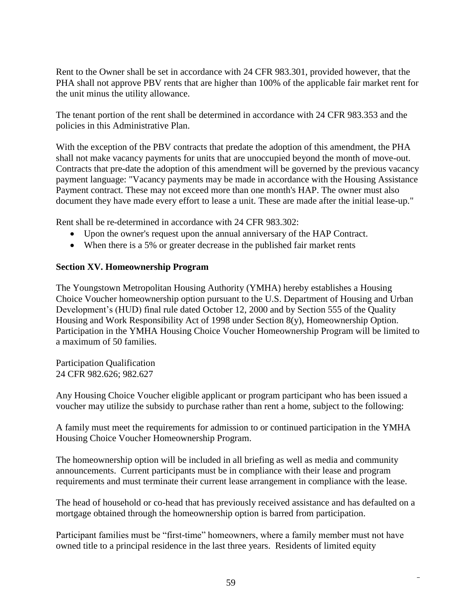Rent to the Owner shall be set in accordance with 24 CFR 983.301, provided however, that the PHA shall not approve PBV rents that are higher than 100% of the applicable fair market rent for the unit minus the utility allowance.

The tenant portion of the rent shall be determined in accordance with 24 CFR 983.353 and the policies in this Administrative Plan.

With the exception of the PBV contracts that predate the adoption of this amendment, the PHA shall not make vacancy payments for units that are unoccupied beyond the month of move-out. Contracts that pre-date the adoption of this amendment will be governed by the previous vacancy payment language: "Vacancy payments may be made in accordance with the Housing Assistance Payment contract. These may not exceed more than one month's HAP. The owner must also document they have made every effort to lease a unit. These are made after the initial lease-up."

Rent shall be re-determined in accordance with 24 CFR 983.302:

- Upon the owner's request upon the annual anniversary of the HAP Contract.
- When there is a 5% or greater decrease in the published fair market rents

## **Section XV. Homeownership Program**

The Youngstown Metropolitan Housing Authority (YMHA) hereby establishes a Housing Choice Voucher homeownership option pursuant to the U.S. Department of Housing and Urban Development's (HUD) final rule dated October 12, 2000 and by Section 555 of the Quality Housing and Work Responsibility Act of 1998 under Section 8(y), Homeownership Option. Participation in the YMHA Housing Choice Voucher Homeownership Program will be limited to a maximum of 50 families.

Participation Qualification 24 CFR 982.626; 982.627

Any Housing Choice Voucher eligible applicant or program participant who has been issued a voucher may utilize the subsidy to purchase rather than rent a home, subject to the following:

A family must meet the requirements for admission to or continued participation in the YMHA Housing Choice Voucher Homeownership Program.

The homeownership option will be included in all briefing as well as media and community announcements. Current participants must be in compliance with their lease and program requirements and must terminate their current lease arrangement in compliance with the lease.

The head of household or co-head that has previously received assistance and has defaulted on a mortgage obtained through the homeownership option is barred from participation.

Participant families must be "first-time" homeowners, where a family member must not have owned title to a principal residence in the last three years. Residents of limited equity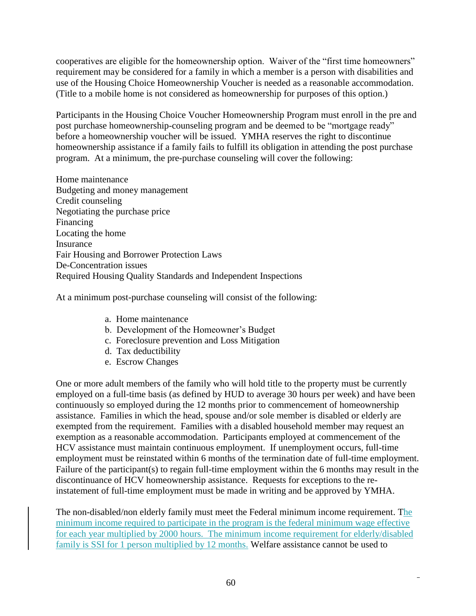cooperatives are eligible for the homeownership option. Waiver of the "first time homeowners" requirement may be considered for a family in which a member is a person with disabilities and use of the Housing Choice Homeownership Voucher is needed as a reasonable accommodation. (Title to a mobile home is not considered as homeownership for purposes of this option.)

Participants in the Housing Choice Voucher Homeownership Program must enroll in the pre and post purchase homeownership-counseling program and be deemed to be "mortgage ready" before a homeownership voucher will be issued. YMHA reserves the right to discontinue homeownership assistance if a family fails to fulfill its obligation in attending the post purchase program. At a minimum, the pre-purchase counseling will cover the following:

Home maintenance Budgeting and money management Credit counseling Negotiating the purchase price Financing Locating the home Insurance Fair Housing and Borrower Protection Laws De-Concentration issues Required Housing Quality Standards and Independent Inspections

At a minimum post-purchase counseling will consist of the following:

- a. Home maintenance
- b. Development of the Homeowner's Budget
- c. Foreclosure prevention and Loss Mitigation
- d. Tax deductibility
- e. Escrow Changes

One or more adult members of the family who will hold title to the property must be currently employed on a full-time basis (as defined by HUD to average 30 hours per week) and have been continuously so employed during the 12 months prior to commencement of homeownership assistance. Families in which the head, spouse and/or sole member is disabled or elderly are exempted from the requirement. Families with a disabled household member may request an exemption as a reasonable accommodation. Participants employed at commencement of the HCV assistance must maintain continuous employment. If unemployment occurs, full-time employment must be reinstated within 6 months of the termination date of full-time employment. Failure of the participant(s) to regain full-time employment within the 6 months may result in the discontinuance of HCV homeownership assistance. Requests for exceptions to the reinstatement of full-time employment must be made in writing and be approved by YMHA.

The non-disabled/non elderly family must meet the Federal minimum income requirement. The minimum income required to participate in the program is the federal minimum wage effective for each year multiplied by 2000 hours. The minimum income requirement for elderly/disabled family is SSI for 1 person multiplied by 12 months. Welfare assistance cannot be used to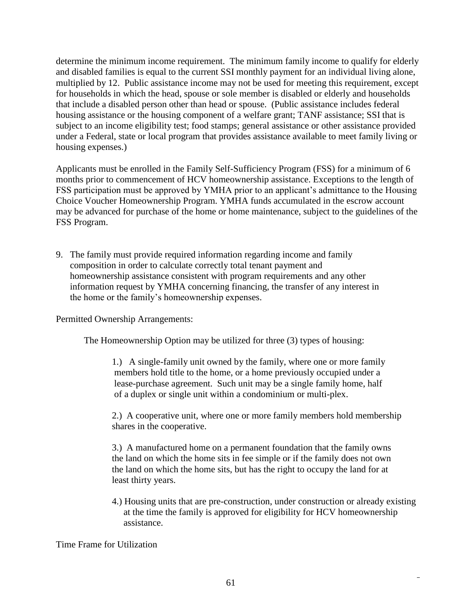determine the minimum income requirement. The minimum family income to qualify for elderly and disabled families is equal to the current SSI monthly payment for an individual living alone, multiplied by 12. Public assistance income may not be used for meeting this requirement, except for households in which the head, spouse or sole member is disabled or elderly and households that include a disabled person other than head or spouse. (Public assistance includes federal housing assistance or the housing component of a welfare grant; TANF assistance; SSI that is subject to an income eligibility test; food stamps; general assistance or other assistance provided under a Federal, state or local program that provides assistance available to meet family living or housing expenses.)

Applicants must be enrolled in the Family Self-Sufficiency Program (FSS) for a minimum of 6 months prior to commencement of HCV homeownership assistance. Exceptions to the length of FSS participation must be approved by YMHA prior to an applicant's admittance to the Housing Choice Voucher Homeownership Program. YMHA funds accumulated in the escrow account may be advanced for purchase of the home or home maintenance, subject to the guidelines of the FSS Program.

9. The family must provide required information regarding income and family composition in order to calculate correctly total tenant payment and homeownership assistance consistent with program requirements and any other information request by YMHA concerning financing, the transfer of any interest in the home or the family's homeownership expenses.

Permitted Ownership Arrangements:

The Homeownership Option may be utilized for three (3) types of housing:

1.) A single-family unit owned by the family, where one or more family members hold title to the home, or a home previously occupied under a lease-purchase agreement. Such unit may be a single family home, half of a duplex or single unit within a condominium or multi-plex.

2.) A cooperative unit, where one or more family members hold membership shares in the cooperative.

3.) A manufactured home on a permanent foundation that the family owns the land on which the home sits in fee simple or if the family does not own the land on which the home sits, but has the right to occupy the land for at least thirty years.

4.) Housing units that are pre-construction, under construction or already existing at the time the family is approved for eligibility for HCV homeownership assistance.

Time Frame for Utilization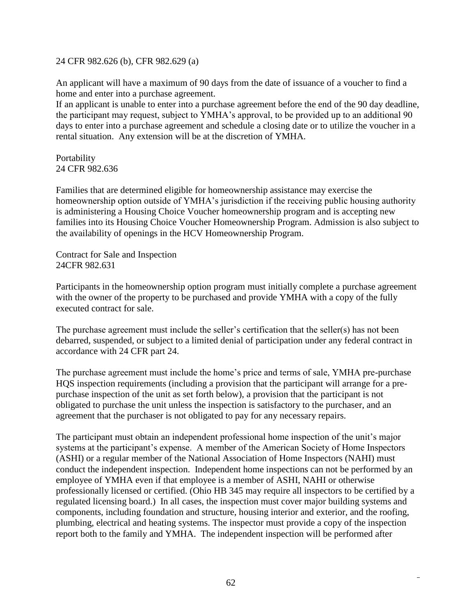24 CFR 982.626 (b), CFR 982.629 (a)

An applicant will have a maximum of 90 days from the date of issuance of a voucher to find a home and enter into a purchase agreement.

If an applicant is unable to enter into a purchase agreement before the end of the 90 day deadline, the participant may request, subject to YMHA's approval, to be provided up to an additional 90 days to enter into a purchase agreement and schedule a closing date or to utilize the voucher in a rental situation. Any extension will be at the discretion of YMHA.

Portability 24 CFR 982.636

Families that are determined eligible for homeownership assistance may exercise the homeownership option outside of YMHA's jurisdiction if the receiving public housing authority is administering a Housing Choice Voucher homeownership program and is accepting new families into its Housing Choice Voucher Homeownership Program. Admission is also subject to the availability of openings in the HCV Homeownership Program.

Contract for Sale and Inspection 24CFR 982.631

Participants in the homeownership option program must initially complete a purchase agreement with the owner of the property to be purchased and provide YMHA with a copy of the fully executed contract for sale.

The purchase agreement must include the seller's certification that the seller(s) has not been debarred, suspended, or subject to a limited denial of participation under any federal contract in accordance with 24 CFR part 24.

The purchase agreement must include the home's price and terms of sale, YMHA pre-purchase HQS inspection requirements (including a provision that the participant will arrange for a prepurchase inspection of the unit as set forth below), a provision that the participant is not obligated to purchase the unit unless the inspection is satisfactory to the purchaser, and an agreement that the purchaser is not obligated to pay for any necessary repairs.

The participant must obtain an independent professional home inspection of the unit's major systems at the participant's expense. A member of the American Society of Home Inspectors (ASHI) or a regular member of the National Association of Home Inspectors (NAHI) must conduct the independent inspection. Independent home inspections can not be performed by an employee of YMHA even if that employee is a member of ASHI, NAHI or otherwise professionally licensed or certified. (Ohio HB 345 may require all inspectors to be certified by a regulated licensing board.) In all cases, the inspection must cover major building systems and components, including foundation and structure, housing interior and exterior, and the roofing, plumbing, electrical and heating systems. The inspector must provide a copy of the inspection report both to the family and YMHA. The independent inspection will be performed after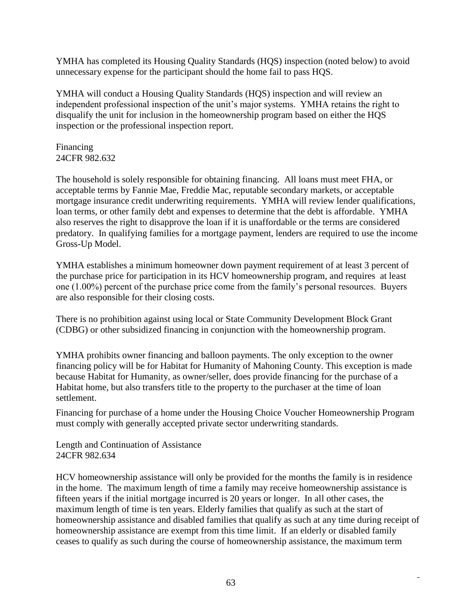YMHA has completed its Housing Quality Standards (HQS) inspection (noted below) to avoid unnecessary expense for the participant should the home fail to pass HQS.

YMHA will conduct a Housing Quality Standards (HQS) inspection and will review an independent professional inspection of the unit's major systems. YMHA retains the right to disqualify the unit for inclusion in the homeownership program based on either the HQS inspection or the professional inspection report.

Financing 24CFR 982.632

The household is solely responsible for obtaining financing. All loans must meet FHA, or acceptable terms by Fannie Mae, Freddie Mac, reputable secondary markets, or acceptable mortgage insurance credit underwriting requirements. YMHA will review lender qualifications, loan terms, or other family debt and expenses to determine that the debt is affordable. YMHA also reserves the right to disapprove the loan if it is unaffordable or the terms are considered predatory. In qualifying families for a mortgage payment, lenders are required to use the income Gross-Up Model.

YMHA establishes a minimum homeowner down payment requirement of at least 3 percent of the purchase price for participation in its HCV homeownership program, and requires at least one (1.00%) percent of the purchase price come from the family's personal resources. Buyers are also responsible for their closing costs.

There is no prohibition against using local or State Community Development Block Grant (CDBG) or other subsidized financing in conjunction with the homeownership program.

YMHA prohibits owner financing and balloon payments. The only exception to the owner financing policy will be for Habitat for Humanity of Mahoning County. This exception is made because Habitat for Humanity, as owner/seller, does provide financing for the purchase of a Habitat home, but also transfers title to the property to the purchaser at the time of loan settlement.

Financing for purchase of a home under the Housing Choice Voucher Homeownership Program must comply with generally accepted private sector underwriting standards.

Length and Continuation of Assistance 24CFR 982.634

HCV homeownership assistance will only be provided for the months the family is in residence in the home. The maximum length of time a family may receive homeownership assistance is fifteen years if the initial mortgage incurred is 20 years or longer. In all other cases, the maximum length of time is ten years. Elderly families that qualify as such at the start of homeownership assistance and disabled families that qualify as such at any time during receipt of homeownership assistance are exempt from this time limit. If an elderly or disabled family ceases to qualify as such during the course of homeownership assistance, the maximum term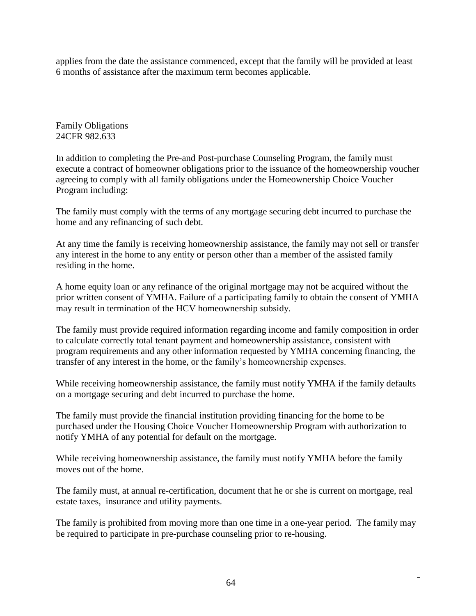applies from the date the assistance commenced, except that the family will be provided at least 6 months of assistance after the maximum term becomes applicable.

Family Obligations 24CFR 982.633

In addition to completing the Pre-and Post-purchase Counseling Program, the family must execute a contract of homeowner obligations prior to the issuance of the homeownership voucher agreeing to comply with all family obligations under the Homeownership Choice Voucher Program including:

The family must comply with the terms of any mortgage securing debt incurred to purchase the home and any refinancing of such debt.

At any time the family is receiving homeownership assistance, the family may not sell or transfer any interest in the home to any entity or person other than a member of the assisted family residing in the home.

A home equity loan or any refinance of the original mortgage may not be acquired without the prior written consent of YMHA. Failure of a participating family to obtain the consent of YMHA may result in termination of the HCV homeownership subsidy.

The family must provide required information regarding income and family composition in order to calculate correctly total tenant payment and homeownership assistance, consistent with program requirements and any other information requested by YMHA concerning financing, the transfer of any interest in the home, or the family's homeownership expenses.

While receiving homeownership assistance, the family must notify YMHA if the family defaults on a mortgage securing and debt incurred to purchase the home.

The family must provide the financial institution providing financing for the home to be purchased under the Housing Choice Voucher Homeownership Program with authorization to notify YMHA of any potential for default on the mortgage.

While receiving homeownership assistance, the family must notify YMHA before the family moves out of the home.

The family must, at annual re-certification, document that he or she is current on mortgage, real estate taxes, insurance and utility payments.

The family is prohibited from moving more than one time in a one-year period. The family may be required to participate in pre-purchase counseling prior to re-housing.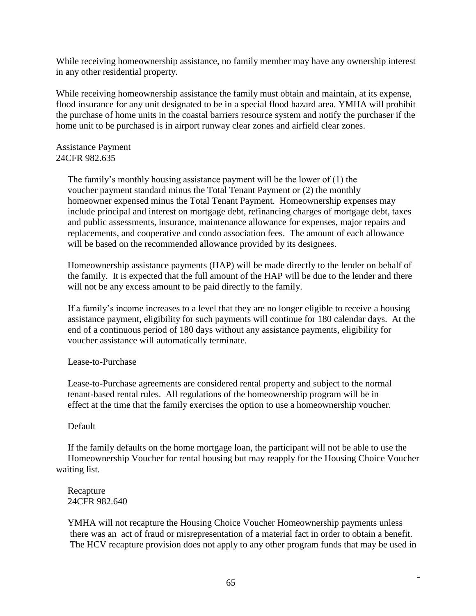While receiving homeownership assistance, no family member may have any ownership interest in any other residential property.

While receiving homeownership assistance the family must obtain and maintain, at its expense, flood insurance for any unit designated to be in a special flood hazard area. YMHA will prohibit the purchase of home units in the coastal barriers resource system and notify the purchaser if the home unit to be purchased is in airport runway clear zones and airfield clear zones.

#### Assistance Payment 24CFR 982.635

 The family's monthly housing assistance payment will be the lower of (1) the voucher payment standard minus the Total Tenant Payment or (2) the monthly homeowner expensed minus the Total Tenant Payment. Homeownership expenses may include principal and interest on mortgage debt, refinancing charges of mortgage debt, taxes and public assessments, insurance, maintenance allowance for expenses, major repairs and replacements, and cooperative and condo association fees. The amount of each allowance will be based on the recommended allowance provided by its designees.

 Homeownership assistance payments (HAP) will be made directly to the lender on behalf of the family. It is expected that the full amount of the HAP will be due to the lender and there will not be any excess amount to be paid directly to the family.

 If a family's income increases to a level that they are no longer eligible to receive a housing assistance payment, eligibility for such payments will continue for 180 calendar days. At the end of a continuous period of 180 days without any assistance payments, eligibility for voucher assistance will automatically terminate.

#### Lease-to-Purchase

 Lease-to-Purchase agreements are considered rental property and subject to the normal tenant-based rental rules. All regulations of the homeownership program will be in effect at the time that the family exercises the option to use a homeownership voucher.

## Default

 If the family defaults on the home mortgage loan, the participant will not be able to use the Homeownership Voucher for rental housing but may reapply for the Housing Choice Voucher waiting list.

#### Recapture 24CFR 982.640

 YMHA will not recapture the Housing Choice Voucher Homeownership payments unless there was an act of fraud or misrepresentation of a material fact in order to obtain a benefit. The HCV recapture provision does not apply to any other program funds that may be used in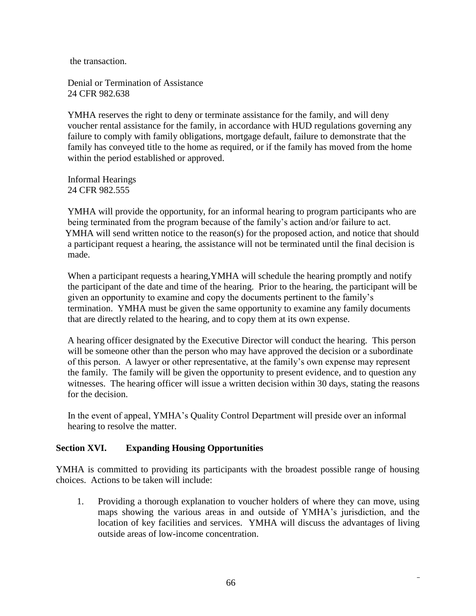the transaction.

 Denial or Termination of Assistance 24 CFR 982.638

 YMHA reserves the right to deny or terminate assistance for the family, and will deny voucher rental assistance for the family, in accordance with HUD regulations governing any failure to comply with family obligations, mortgage default, failure to demonstrate that the family has conveyed title to the home as required, or if the family has moved from the home within the period established or approved.

 Informal Hearings 24 CFR 982.555

 YMHA will provide the opportunity, for an informal hearing to program participants who are being terminated from the program because of the family's action and/or failure to act. YMHA will send written notice to the reason(s) for the proposed action, and notice that should a participant request a hearing, the assistance will not be terminated until the final decision is made.

When a participant requests a hearing, YMHA will schedule the hearing promptly and notify the participant of the date and time of the hearing. Prior to the hearing, the participant will be given an opportunity to examine and copy the documents pertinent to the family's termination. YMHA must be given the same opportunity to examine any family documents that are directly related to the hearing, and to copy them at its own expense.

 A hearing officer designated by the Executive Director will conduct the hearing. This person will be someone other than the person who may have approved the decision or a subordinate of this person. A lawyer or other representative, at the family's own expense may represent the family. The family will be given the opportunity to present evidence, and to question any witnesses. The hearing officer will issue a written decision within 30 days, stating the reasons for the decision.

 In the event of appeal, YMHA's Quality Control Department will preside over an informal hearing to resolve the matter.

## **Section XVI. Expanding Housing Opportunities**

YMHA is committed to providing its participants with the broadest possible range of housing choices. Actions to be taken will include:

1. Providing a thorough explanation to voucher holders of where they can move, using maps showing the various areas in and outside of YMHA's jurisdiction, and the location of key facilities and services. YMHA will discuss the advantages of living outside areas of low-income concentration.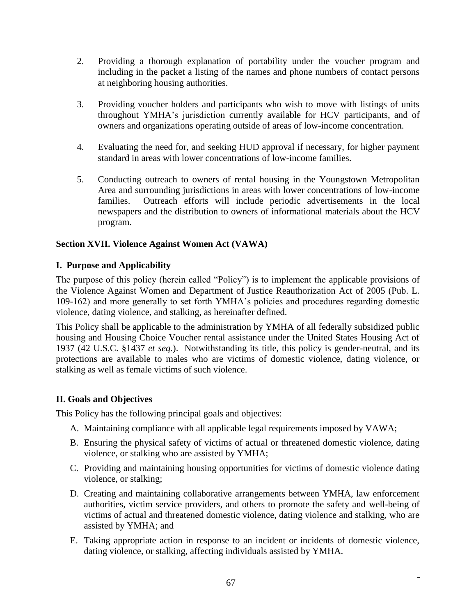- 2. Providing a thorough explanation of portability under the voucher program and including in the packet a listing of the names and phone numbers of contact persons at neighboring housing authorities.
- 3. Providing voucher holders and participants who wish to move with listings of units throughout YMHA's jurisdiction currently available for HCV participants, and of owners and organizations operating outside of areas of low-income concentration.
- 4. Evaluating the need for, and seeking HUD approval if necessary, for higher payment standard in areas with lower concentrations of low-income families.
- 5. Conducting outreach to owners of rental housing in the Youngstown Metropolitan Area and surrounding jurisdictions in areas with lower concentrations of low-income families. Outreach efforts will include periodic advertisements in the local newspapers and the distribution to owners of informational materials about the HCV program.

## **Section XVII. Violence Against Women Act (VAWA)**

## **I. Purpose and Applicability**

The purpose of this policy (herein called "Policy") is to implement the applicable provisions of the Violence Against Women and Department of Justice Reauthorization Act of 2005 (Pub. L. 109-162) and more generally to set forth YMHA's policies and procedures regarding domestic violence, dating violence, and stalking, as hereinafter defined.

This Policy shall be applicable to the administration by YMHA of all federally subsidized public housing and Housing Choice Voucher rental assistance under the United States Housing Act of 1937 (42 U.S.C. §1437 *et seq.*). Notwithstanding its title, this policy is gender-neutral, and its protections are available to males who are victims of domestic violence, dating violence, or stalking as well as female victims of such violence.

## **II. Goals and Objectives**

This Policy has the following principal goals and objectives:

- A. Maintaining compliance with all applicable legal requirements imposed by VAWA;
- B. Ensuring the physical safety of victims of actual or threatened domestic violence, dating violence, or stalking who are assisted by YMHA;
- C. Providing and maintaining housing opportunities for victims of domestic violence dating violence, or stalking;
- D. Creating and maintaining collaborative arrangements between YMHA, law enforcement authorities, victim service providers, and others to promote the safety and well-being of victims of actual and threatened domestic violence, dating violence and stalking, who are assisted by YMHA; and
- E. Taking appropriate action in response to an incident or incidents of domestic violence, dating violence, or stalking, affecting individuals assisted by YMHA.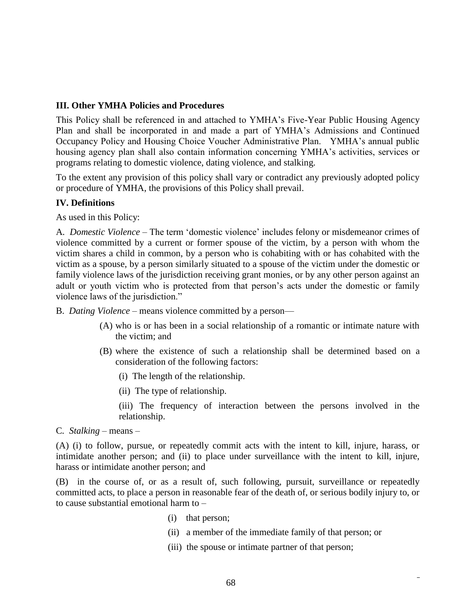#### **III. Other YMHA Policies and Procedures**

This Policy shall be referenced in and attached to YMHA's Five-Year Public Housing Agency Plan and shall be incorporated in and made a part of YMHA's Admissions and Continued Occupancy Policy and Housing Choice Voucher Administrative Plan. YMHA's annual public housing agency plan shall also contain information concerning YMHA's activities, services or programs relating to domestic violence, dating violence, and stalking.

To the extent any provision of this policy shall vary or contradict any previously adopted policy or procedure of YMHA, the provisions of this Policy shall prevail.

#### **IV. Definitions**

As used in this Policy:

A*. Domestic Violence* – The term 'domestic violence' includes felony or misdemeanor crimes of violence committed by a current or former spouse of the victim, by a person with whom the victim shares a child in common, by a person who is cohabiting with or has cohabited with the victim as a spouse, by a person similarly situated to a spouse of the victim under the domestic or family violence laws of the jurisdiction receiving grant monies, or by any other person against an adult or youth victim who is protected from that person's acts under the domestic or family violence laws of the jurisdiction."

B. *Dating Violence* – means violence committed by a person—

- (A) who is or has been in a social relationship of a romantic or intimate nature with the victim; and
- (B) where the existence of such a relationship shall be determined based on a consideration of the following factors:
	- (i) The length of the relationship.
	- (ii) The type of relationship.

(iii) The frequency of interaction between the persons involved in the relationship.

C*. Stalking* – means –

(A) (i) to follow, pursue, or repeatedly commit acts with the intent to kill, injure, harass, or intimidate another person; and (ii) to place under surveillance with the intent to kill, injure, harass or intimidate another person; and

(B) in the course of, or as a result of, such following, pursuit, surveillance or repeatedly committed acts, to place a person in reasonable fear of the death of, or serious bodily injury to, or to cause substantial emotional harm to –

- (i) that person;
- (ii) a member of the immediate family of that person; or
- (iii) the spouse or intimate partner of that person;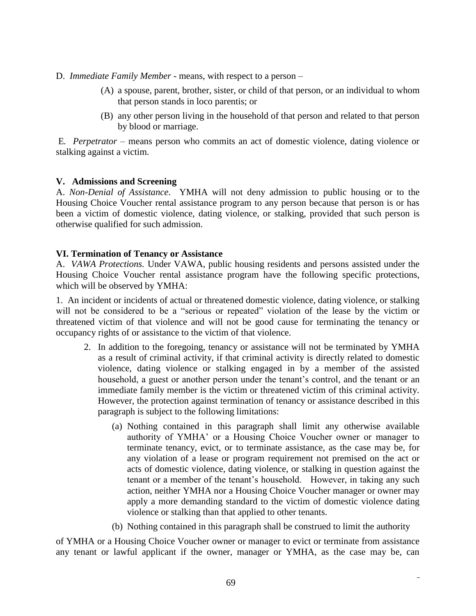D. *Immediate Family Member* - means, with respect to a person –

- (A) a spouse, parent, brother, sister, or child of that person, or an individual to whom that person stands in loco parentis; or
- (B) any other person living in the household of that person and related to that person by blood or marriage.

E*. Perpetrator –* means person who commits an act of domestic violence, dating violence or stalking against a victim.

#### **V. Admissions and Screening**

A. *Non-Denial of Assistance*. YMHA will not deny admission to public housing or to the Housing Choice Voucher rental assistance program to any person because that person is or has been a victim of domestic violence, dating violence, or stalking, provided that such person is otherwise qualified for such admission.

#### **VI. Termination of Tenancy or Assistance**

A. *VAWA Protections.* Under VAWA, public housing residents and persons assisted under the Housing Choice Voucher rental assistance program have the following specific protections, which will be observed by YMHA:

1. An incident or incidents of actual or threatened domestic violence, dating violence, or stalking will not be considered to be a "serious or repeated" violation of the lease by the victim or threatened victim of that violence and will not be good cause for terminating the tenancy or occupancy rights of or assistance to the victim of that violence.

- 2. In addition to the foregoing, tenancy or assistance will not be terminated by YMHA as a result of criminal activity, if that criminal activity is directly related to domestic violence, dating violence or stalking engaged in by a member of the assisted household, a guest or another person under the tenant's control, and the tenant or an immediate family member is the victim or threatened victim of this criminal activity. However, the protection against termination of tenancy or assistance described in this paragraph is subject to the following limitations:
	- (a) Nothing contained in this paragraph shall limit any otherwise available authority of YMHA' or a Housing Choice Voucher owner or manager to terminate tenancy, evict, or to terminate assistance, as the case may be, for any violation of a lease or program requirement not premised on the act or acts of domestic violence, dating violence, or stalking in question against the tenant or a member of the tenant's household. However, in taking any such action, neither YMHA nor a Housing Choice Voucher manager or owner may apply a more demanding standard to the victim of domestic violence dating violence or stalking than that applied to other tenants.
	- (b) Nothing contained in this paragraph shall be construed to limit the authority

of YMHA or a Housing Choice Voucher owner or manager to evict or terminate from assistance any tenant or lawful applicant if the owner, manager or YMHA, as the case may be, can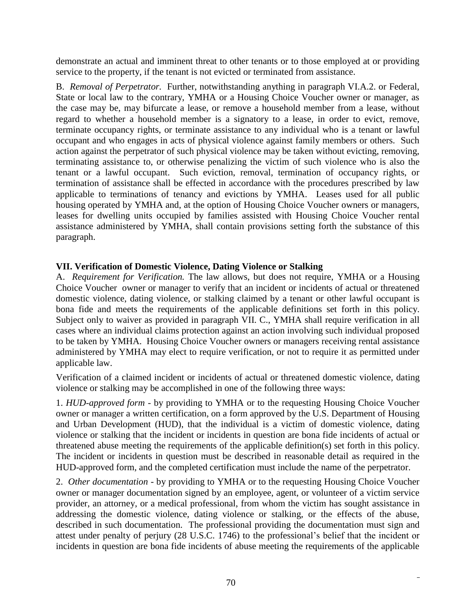demonstrate an actual and imminent threat to other tenants or to those employed at or providing service to the property, if the tenant is not evicted or terminated from assistance.

B. *Removal of Perpetrator.* Further, notwithstanding anything in paragraph VI.A.2. or Federal, State or local law to the contrary, YMHA or a Housing Choice Voucher owner or manager, as the case may be, may bifurcate a lease, or remove a household member from a lease, without regard to whether a household member is a signatory to a lease, in order to evict, remove, terminate occupancy rights, or terminate assistance to any individual who is a tenant or lawful occupant and who engages in acts of physical violence against family members or others. Such action against the perpetrator of such physical violence may be taken without evicting, removing, terminating assistance to, or otherwise penalizing the victim of such violence who is also the tenant or a lawful occupant. Such eviction, removal, termination of occupancy rights, or termination of assistance shall be effected in accordance with the procedures prescribed by law applicable to terminations of tenancy and evictions by YMHA. Leases used for all public housing operated by YMHA and, at the option of Housing Choice Voucher owners or managers, leases for dwelling units occupied by families assisted with Housing Choice Voucher rental assistance administered by YMHA, shall contain provisions setting forth the substance of this paragraph.

### **VII. Verification of Domestic Violence, Dating Violence or Stalking**

A. *Requirement for Verification.* The law allows, but does not require, YMHA or a Housing Choice Voucher owner or manager to verify that an incident or incidents of actual or threatened domestic violence, dating violence, or stalking claimed by a tenant or other lawful occupant is bona fide and meets the requirements of the applicable definitions set forth in this policy. Subject only to waiver as provided in paragraph VII. C., YMHA shall require verification in all cases where an individual claims protection against an action involving such individual proposed to be taken by YMHA. Housing Choice Voucher owners or managers receiving rental assistance administered by YMHA may elect to require verification, or not to require it as permitted under applicable law.

Verification of a claimed incident or incidents of actual or threatened domestic violence, dating violence or stalking may be accomplished in one of the following three ways:

1. *HUD-approved form -* by providing to YMHA or to the requesting Housing Choice Voucher owner or manager a written certification, on a form approved by the U.S. Department of Housing and Urban Development (HUD), that the individual is a victim of domestic violence, dating violence or stalking that the incident or incidents in question are bona fide incidents of actual or threatened abuse meeting the requirements of the applicable definition(s) set forth in this policy. The incident or incidents in question must be described in reasonable detail as required in the HUD-approved form, and the completed certification must include the name of the perpetrator.

2. *Other documentation -* by providing to YMHA or to the requesting Housing Choice Voucher owner or manager documentation signed by an employee, agent, or volunteer of a victim service provider, an attorney, or a medical professional, from whom the victim has sought assistance in addressing the domestic violence, dating violence or stalking, or the effects of the abuse, described in such documentation. The professional providing the documentation must sign and attest under penalty of perjury (28 U.S.C. 1746) to the professional's belief that the incident or incidents in question are bona fide incidents of abuse meeting the requirements of the applicable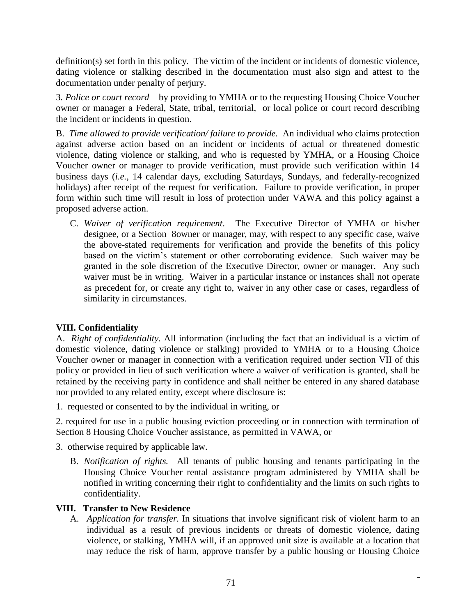definition(s) set forth in this policy. The victim of the incident or incidents of domestic violence, dating violence or stalking described in the documentation must also sign and attest to the documentation under penalty of perjury.

3*. Police or court record* – by providing to YMHA or to the requesting Housing Choice Voucher owner or manager a Federal, State, tribal, territorial, or local police or court record describing the incident or incidents in question.

B. *Time allowed to provide verification/ failure to provide.* An individual who claims protection against adverse action based on an incident or incidents of actual or threatened domestic violence, dating violence or stalking, and who is requested by YMHA, or a Housing Choice Voucher owner or manager to provide verification, must provide such verification within 14 business days (*i.e.,* 14 calendar days, excluding Saturdays, Sundays, and federally-recognized holidays) after receipt of the request for verification. Failure to provide verification, in proper form within such time will result in loss of protection under VAWA and this policy against a proposed adverse action.

C. *Waiver of verification requirement*. The Executive Director of YMHA or his/her designee, or a Section 8owner or manager, may, with respect to any specific case, waive the above-stated requirements for verification and provide the benefits of this policy based on the victim's statement or other corroborating evidence. Such waiver may be granted in the sole discretion of the Executive Director, owner or manager. Any such waiver must be in writing. Waiver in a particular instance or instances shall not operate as precedent for, or create any right to, waiver in any other case or cases, regardless of similarity in circumstances.

# **VIII. Confidentiality**

A. *Right of confidentiality.* All information (including the fact that an individual is a victim of domestic violence, dating violence or stalking) provided to YMHA or to a Housing Choice Voucher owner or manager in connection with a verification required under section VII of this policy or provided in lieu of such verification where a waiver of verification is granted, shall be retained by the receiving party in confidence and shall neither be entered in any shared database nor provided to any related entity, except where disclosure is:

1. requested or consented to by the individual in writing, or

2. required for use in a public housing eviction proceeding or in connection with termination of Section 8 Housing Choice Voucher assistance, as permitted in VAWA, or

- 3. otherwise required by applicable law.
	- B. *Notification of rights.* All tenants of public housing and tenants participating in the Housing Choice Voucher rental assistance program administered by YMHA shall be notified in writing concerning their right to confidentiality and the limits on such rights to confidentiality.

## **VIII. Transfer to New Residence**

A. *Application for transfer.* In situations that involve significant risk of violent harm to an individual as a result of previous incidents or threats of domestic violence, dating violence, or stalking, YMHA will, if an approved unit size is available at a location that may reduce the risk of harm, approve transfer by a public housing or Housing Choice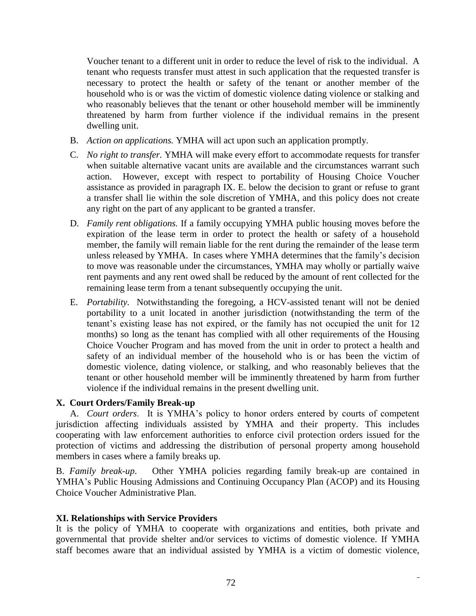Voucher tenant to a different unit in order to reduce the level of risk to the individual. A tenant who requests transfer must attest in such application that the requested transfer is necessary to protect the health or safety of the tenant or another member of the household who is or was the victim of domestic violence dating violence or stalking and who reasonably believes that the tenant or other household member will be imminently threatened by harm from further violence if the individual remains in the present dwelling unit.

- B. *Action on applications.* YMHA will act upon such an application promptly.
- C. *No right to transfer.* YMHA will make every effort to accommodate requests for transfer when suitable alternative vacant units are available and the circumstances warrant such action. However, except with respect to portability of Housing Choice Voucher assistance as provided in paragraph IX. E. below the decision to grant or refuse to grant a transfer shall lie within the sole discretion of YMHA, and this policy does not create any right on the part of any applicant to be granted a transfer.
- D. *Family rent obligations.* If a family occupying YMHA public housing moves before the expiration of the lease term in order to protect the health or safety of a household member, the family will remain liable for the rent during the remainder of the lease term unless released by YMHA. In cases where YMHA determines that the family's decision to move was reasonable under the circumstances, YMHA may wholly or partially waive rent payments and any rent owed shall be reduced by the amount of rent collected for the remaining lease term from a tenant subsequently occupying the unit.
- E. *Portability.* Notwithstanding the foregoing, a HCV-assisted tenant will not be denied portability to a unit located in another jurisdiction (notwithstanding the term of the tenant's existing lease has not expired, or the family has not occupied the unit for 12 months) so long as the tenant has complied with all other requirements of the Housing Choice Voucher Program and has moved from the unit in order to protect a health and safety of an individual member of the household who is or has been the victim of domestic violence, dating violence, or stalking, and who reasonably believes that the tenant or other household member will be imminently threatened by harm from further violence if the individual remains in the present dwelling unit.

#### **X. Court Orders/Family Break-up**

A. *Court orders*. It is YMHA's policy to honor orders entered by courts of competent jurisdiction affecting individuals assisted by YMHA and their property. This includes cooperating with law enforcement authorities to enforce civil protection orders issued for the protection of victims and addressing the distribution of personal property among household members in cases where a family breaks up.

B. *Family break-up*. Other YMHA policies regarding family break-up are contained in YMHA's Public Housing Admissions and Continuing Occupancy Plan (ACOP) and its Housing Choice Voucher Administrative Plan.

#### **XI. Relationships with Service Providers**

It is the policy of YMHA to cooperate with organizations and entities, both private and governmental that provide shelter and/or services to victims of domestic violence. If YMHA staff becomes aware that an individual assisted by YMHA is a victim of domestic violence,